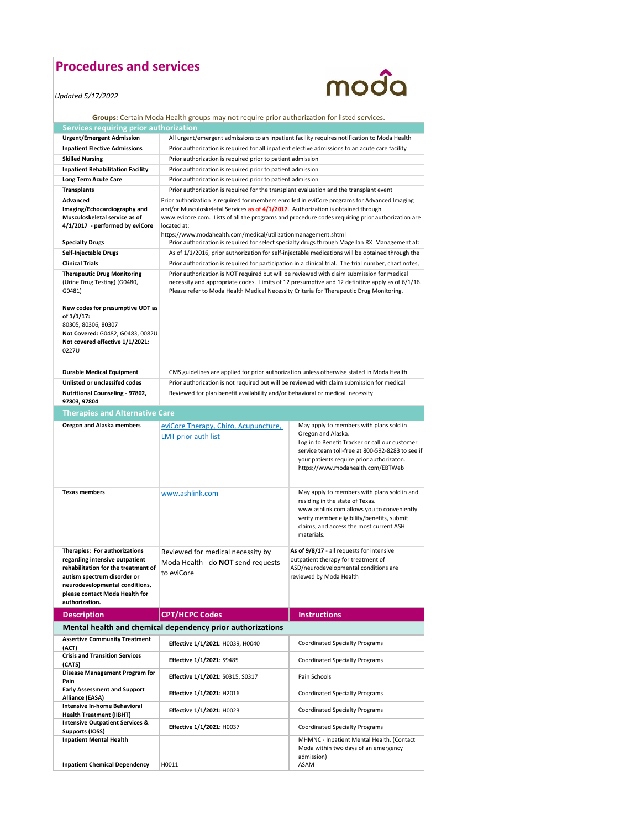## **Procedures and services**

| Procedures and services                                                                                                                                                                                                     |                                                                                                                                                                                                                                                                                                       | moda                                                                                                                                                                                                                                                  |
|-----------------------------------------------------------------------------------------------------------------------------------------------------------------------------------------------------------------------------|-------------------------------------------------------------------------------------------------------------------------------------------------------------------------------------------------------------------------------------------------------------------------------------------------------|-------------------------------------------------------------------------------------------------------------------------------------------------------------------------------------------------------------------------------------------------------|
| Updated 5/17/2022                                                                                                                                                                                                           |                                                                                                                                                                                                                                                                                                       |                                                                                                                                                                                                                                                       |
|                                                                                                                                                                                                                             | Groups: Certain Moda Health groups may not require prior authorization for listed services.                                                                                                                                                                                                           |                                                                                                                                                                                                                                                       |
| Services requiring prior authorization                                                                                                                                                                                      |                                                                                                                                                                                                                                                                                                       |                                                                                                                                                                                                                                                       |
| <b>Urgent/Emergent Admission</b>                                                                                                                                                                                            |                                                                                                                                                                                                                                                                                                       | All urgent/emergent admissions to an inpatient facility requires notification to Moda Health                                                                                                                                                          |
| <b>Inpatient Elective Admissions</b>                                                                                                                                                                                        |                                                                                                                                                                                                                                                                                                       | Prior authorization is required for all inpatient elective admissions to an acute care facility                                                                                                                                                       |
| <b>Skilled Nursing</b>                                                                                                                                                                                                      | Prior authorization is required prior to patient admission                                                                                                                                                                                                                                            |                                                                                                                                                                                                                                                       |
| <b>Inpatient Rehabilitation Facility</b>                                                                                                                                                                                    | Prior authorization is required prior to patient admission                                                                                                                                                                                                                                            |                                                                                                                                                                                                                                                       |
| Long Term Acute Care                                                                                                                                                                                                        | Prior authorization is required prior to patient admission                                                                                                                                                                                                                                            |                                                                                                                                                                                                                                                       |
| <b>Transplants</b>                                                                                                                                                                                                          | Prior authorization is required for the transplant evaluation and the transplant event                                                                                                                                                                                                                |                                                                                                                                                                                                                                                       |
| Advanced<br>Imaging/Echocardiography and<br>Musculoskeletal service as of<br>4/1/2017 - performed by eviCore                                                                                                                | Prior authorization is required for members enrolled in eviCore programs for Advanced Imaging<br>and/or Musculoskeletal Services as of 4/1/2017. Authorization is obtained through<br>www.evicore.com. Lists of all the programs and procedure codes requiring prior authorization are<br>located at: |                                                                                                                                                                                                                                                       |
| <b>Specialty Drugs</b>                                                                                                                                                                                                      | https://www.modahealth.com/medical/utilizationmanagement.shtml                                                                                                                                                                                                                                        | Prior authorization is required for select specialty drugs through Magellan RX Management at:                                                                                                                                                         |
| Self-Injectable Drugs                                                                                                                                                                                                       |                                                                                                                                                                                                                                                                                                       | As of 1/1/2016, prior authorization for self-injectable medications will be obtained through the                                                                                                                                                      |
| <b>Clinical Trials</b>                                                                                                                                                                                                      |                                                                                                                                                                                                                                                                                                       | Prior authorization is required for participation in a clinical trial. The trial number, chart notes,                                                                                                                                                 |
| <b>Therapeutic Drug Monitoring</b><br>(Urine Drug Testing) (G0480,<br>G0481)                                                                                                                                                | Please refer to Moda Health Medical Necessity Criteria for Therapeutic Drug Monitoring.                                                                                                                                                                                                               | Prior authorization is NOT required but will be reviewed with claim submission for medical<br>necessity and appropriate codes. Limits of 12 presumptive and 12 definitive apply as of 6/1/16.                                                         |
| New codes for presumptive UDT as<br>of 1/1/17:<br>80305, 80306, 80307<br>Not Covered: G0482, G0483, 0082U<br>Not covered effective 1/1/2021:<br>0227U                                                                       |                                                                                                                                                                                                                                                                                                       |                                                                                                                                                                                                                                                       |
| <b>Durable Medical Equipment</b>                                                                                                                                                                                            |                                                                                                                                                                                                                                                                                                       | CMS guidelines are applied for prior authorization unless otherwise stated in Moda Health                                                                                                                                                             |
| Unlisted or unclassifed codes                                                                                                                                                                                               | Prior authorization is not required but will be reviewed with claim submission for medical                                                                                                                                                                                                            |                                                                                                                                                                                                                                                       |
| Nutritional Counseling - 97802,<br>97803, 97804                                                                                                                                                                             | Reviewed for plan benefit availability and/or behavioral or medical necessity                                                                                                                                                                                                                         |                                                                                                                                                                                                                                                       |
| <b>Therapies and Alternative Care</b>                                                                                                                                                                                       |                                                                                                                                                                                                                                                                                                       |                                                                                                                                                                                                                                                       |
|                                                                                                                                                                                                                             |                                                                                                                                                                                                                                                                                                       |                                                                                                                                                                                                                                                       |
| <b>Oregon and Alaska members</b>                                                                                                                                                                                            | eviCore Therapy, Chiro, Acupuncture,<br>LMT prior auth list                                                                                                                                                                                                                                           | May apply to members with plans sold in<br>Oregon and Alaska.<br>Log in to Benefit Tracker or call our customer<br>service team toll-free at 800-592-8283 to see if<br>your patients require prior authorizaton.<br>https://www.modahealth.com/EBTWeb |
| <b>Texas members</b>                                                                                                                                                                                                        | www.ashlink.com                                                                                                                                                                                                                                                                                       | May apply to members with plans sold in and<br>residing in the state of Texas.<br>www.ashlink.com allows you to conveniently<br>verify member eligibility/benefits, submit<br>claims, and access the most current ASH<br>materials.                   |
| Therapies: For authorizations<br>regarding intensive outpatient<br>rehabilitation for the treatment of<br>autism spectrum disorder or<br>neurodevelopmental conditions,<br>please contact Moda Health for<br>authorization. | Reviewed for medical necessity by<br>Moda Health - do NOT send requests<br>to eviCore                                                                                                                                                                                                                 | As of 9/8/17 - all requests for intensive<br>outpatient therapy for treatment of<br>ASD/neurodevelopmental conditions are<br>reviewed by Moda Health                                                                                                  |
| <b>Description</b>                                                                                                                                                                                                          | <b>CPT/HCPC Codes</b>                                                                                                                                                                                                                                                                                 | <b>Instructions</b>                                                                                                                                                                                                                                   |
|                                                                                                                                                                                                                             | Mental health and chemical dependency prior authorizations                                                                                                                                                                                                                                            |                                                                                                                                                                                                                                                       |
| <b>Assertive Community Treatment</b><br>(ACT)                                                                                                                                                                               | Effective 1/1/2021: H0039, H0040                                                                                                                                                                                                                                                                      | Coordinated Specialty Programs                                                                                                                                                                                                                        |
| <b>Crisis and Transition Services</b><br>(CATS)                                                                                                                                                                             | Effective 1/1/2021: S9485                                                                                                                                                                                                                                                                             | Coordinated Specialty Programs                                                                                                                                                                                                                        |
| Disease Management Program for<br>Pain                                                                                                                                                                                      | Effective 1/1/2021: S0315, S0317                                                                                                                                                                                                                                                                      | Pain Schools                                                                                                                                                                                                                                          |
| <b>Early Assessment and Support</b><br>Alliance (EASA)                                                                                                                                                                      | Effective 1/1/2021: H2016                                                                                                                                                                                                                                                                             | Coordinated Specialty Programs                                                                                                                                                                                                                        |
| Intensive In-home Behavioral<br><b>Health Treatment (IIBHT)</b>                                                                                                                                                             | Effective 1/1/2021: H0023                                                                                                                                                                                                                                                                             | Coordinated Specialty Programs                                                                                                                                                                                                                        |
| <b>Intensive Outpatient Services &amp;</b><br>Supports (IOSS)                                                                                                                                                               | Effective 1/1/2021: H0037                                                                                                                                                                                                                                                                             | Coordinated Specialty Programs                                                                                                                                                                                                                        |
| <b>Inpatient Mental Health</b>                                                                                                                                                                                              |                                                                                                                                                                                                                                                                                                       | MHMNC - Inpatient Mental Health. (Contact<br>Moda within two days of an emergency<br>admission)                                                                                                                                                       |
| <b>Inpatient Chemical Dependency</b>                                                                                                                                                                                        | H0011                                                                                                                                                                                                                                                                                                 | ASAM                                                                                                                                                                                                                                                  |
|                                                                                                                                                                                                                             |                                                                                                                                                                                                                                                                                                       |                                                                                                                                                                                                                                                       |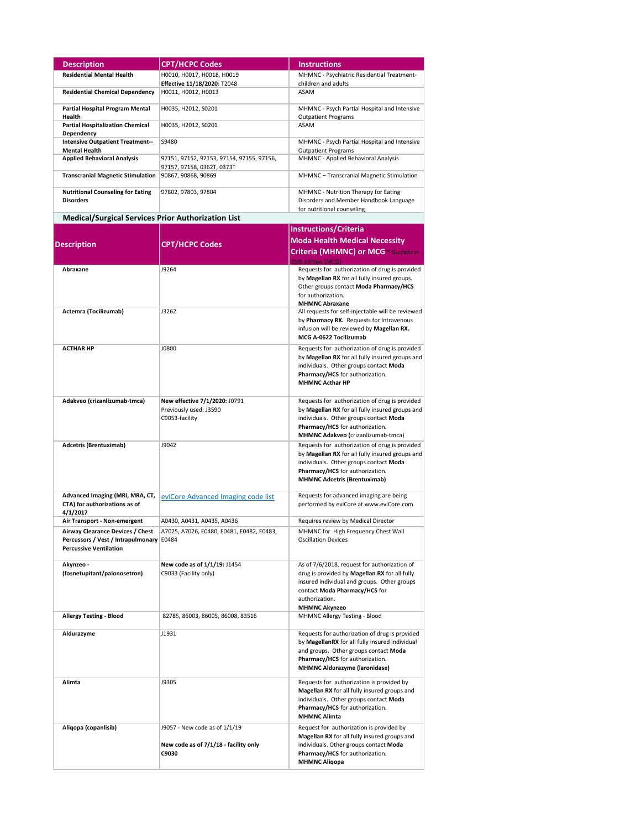| <b>Description</b>                                                                                      | <b>CPT/HCPC Codes</b>                                                           | <b>Instructions</b>                                                                                                                                                                                                     |
|---------------------------------------------------------------------------------------------------------|---------------------------------------------------------------------------------|-------------------------------------------------------------------------------------------------------------------------------------------------------------------------------------------------------------------------|
|                                                                                                         |                                                                                 |                                                                                                                                                                                                                         |
| <b>Residential Mental Health</b>                                                                        | H0010, H0017, H0018, H0019<br>Effective 11/18/2020: T2048                       | MHMNC - Psychiatric Residential Treatment-<br>children and adults                                                                                                                                                       |
| <b>Residential Chemical Dependency</b>                                                                  | H0011, H0012, H0013                                                             | ASAM                                                                                                                                                                                                                    |
| Partial Hospital Program Mental<br>Health                                                               | H0035, H2012, S0201                                                             | MHMNC - Psych Partial Hospital and Intensive<br><b>Outpatient Programs</b>                                                                                                                                              |
| <b>Partial Hospitalization Chemical</b><br>Dependency                                                   | H0035, H2012, S0201                                                             | ASAM                                                                                                                                                                                                                    |
| <b>Intensive Outpatient Treatment--</b>                                                                 | S9480                                                                           | MHMNC - Psych Partial Hospital and Intensive                                                                                                                                                                            |
| <b>Mental Health</b>                                                                                    |                                                                                 | <b>Outpatient Programs</b>                                                                                                                                                                                              |
| <b>Applied Behavioral Analysis</b>                                                                      | 97151, 97152, 97153, 97154, 97155, 97156,<br>97157, 97158, 0362T, 0373T         | MHMNC - Applied Behavioral Analysis                                                                                                                                                                                     |
| <b>Transcranial Magnetic Stimulation</b>                                                                | 90867, 90868, 90869                                                             | MHMNC - Transcranial Magnetic Stimulation                                                                                                                                                                               |
| <b>Nutritional Counseling for Eating</b><br><b>Disorders</b>                                            | 97802, 97803, 97804                                                             | MHMNC - Nutrition Therapy for Eating<br>Disorders and Member Handbook Language                                                                                                                                          |
| <b>Medical/Surgical Services Prior Authorization List</b>                                               |                                                                                 | for nutritional counseling                                                                                                                                                                                              |
|                                                                                                         |                                                                                 | <b>Instructions/Criteria</b>                                                                                                                                                                                            |
|                                                                                                         |                                                                                 | <b>Moda Health Medical Necessity</b>                                                                                                                                                                                    |
| <b>Description</b>                                                                                      | <b>CPT/HCPC Codes</b>                                                           | <b>Criteria (MHMNC) or MCG</b> <sup>®</sup> Guidelines                                                                                                                                                                  |
| Abraxane                                                                                                | J9264                                                                           | 25th Edition (MCG)<br>Requests for authorization of drug is provided<br>by Magellan RX for all fully insured groups.<br>Other groups contact Moda Pharmacy/HCS<br>for authorization.<br><b>MHMNC Abraxane</b>           |
| Actemra (Tocilizumab)                                                                                   | J3262                                                                           | All requests for self-injectable will be reviewed<br>by Pharmacy RX. Requests for Intravenous<br>infusion will be reviewed by Magellan RX.<br>MCG A-0622 Tocilizumab                                                    |
| <b>ACTHAR HP</b>                                                                                        | J0800                                                                           | Requests for authorization of drug is provided<br>by Magellan RX for all fully insured groups and<br>individuals. Other groups contact Moda<br>Pharmacy/HCS for authorization.<br><b>MHMNC Acthar HP</b>                |
| Adakveo (crizanlizumab-tmca)                                                                            | New effective 7/1/2020: J0791<br>Previously used: J3590<br>C9053-facility       | Requests for authorization of drug is provided<br>by Magellan RX for all fully insured groups and<br>individuals. Other groups contact Moda<br>Pharmacy/HCS for authorization.<br>MHMNC Adakveo (crizanlizumab-tmca)    |
| <b>Adcetris (Brentuximab)</b>                                                                           | J9042                                                                           | Requests for authorization of drug is provided<br>by Magellan RX for all fully insured groups and<br>individuals. Other groups contact Moda<br>Pharmacy/HCS for authorization.<br><b>MHMNC Adcetris (Brentuximab)</b>   |
| Advanced Imaging (MRI, MRA, CT,<br>CTA) for authorizations as of<br>4/1/2017                            | eviCore Advanced Imaging code list                                              | Requests for advanced imaging are being<br>performed by eviCore at www.eviCore.com                                                                                                                                      |
| Air Transport - Non-emergent                                                                            | A0430, A0431, A0435, A0436                                                      | Requires review by Medical Director                                                                                                                                                                                     |
| Airway Clearance Devices / Chest<br>Percussors / Vest / Intrapulmonary<br><b>Percussive Ventilation</b> | A7025, A7026, E0480, E0481, E0482, E0483,<br>E0484                              | MHMNC for High Frequency Chest Wall<br><b>Oscillation Devices</b>                                                                                                                                                       |
| Akynzeo -<br>(fosnetupitant/palonosetron)                                                               | New code as of 1/1/19: J1454<br>C9033 (Facility only)                           | As of 7/6/2018, request for authorization of<br>drug is provided by Magellan RX for all fully<br>insured individual and groups. Other groups<br>contact Moda Pharmacy/HCS for<br>authorization.<br><b>MHMNC Akynzeo</b> |
| <b>Allergy Testing - Blood</b>                                                                          | 82785, 86003, 86005, 86008, 83516                                               | MHMNC Allergy Testing - Blood                                                                                                                                                                                           |
| Aldurazyme                                                                                              | J1931                                                                           | Requests for authorization of drug is provided<br>by MagellanRX for all fully insured individual<br>and groups. Other groups contact Moda<br>Pharmacy/HCS for authorization.<br><b>MHMNC Aldurazyme (laronidase)</b>    |
| Alimta                                                                                                  | J9305                                                                           | Requests for authorization is provided by<br>Magellan RX for all fully insured groups and<br>individuals. Other groups contact Moda<br>Pharmacy/HCS for authorization.<br><b>MHMNC Alimta</b>                           |
| Aliqopa (copanlisib)                                                                                    | J9057 - New code as of 1/1/19<br>New code as of 7/1/18 - facility only<br>C9030 | Request for authorization is provided by<br>Magellan RX for all fully insured groups and<br>individuals. Other groups contact Moda<br>Pharmacy/HCS for authorization.<br><b>MHMNC Aliqopa</b>                           |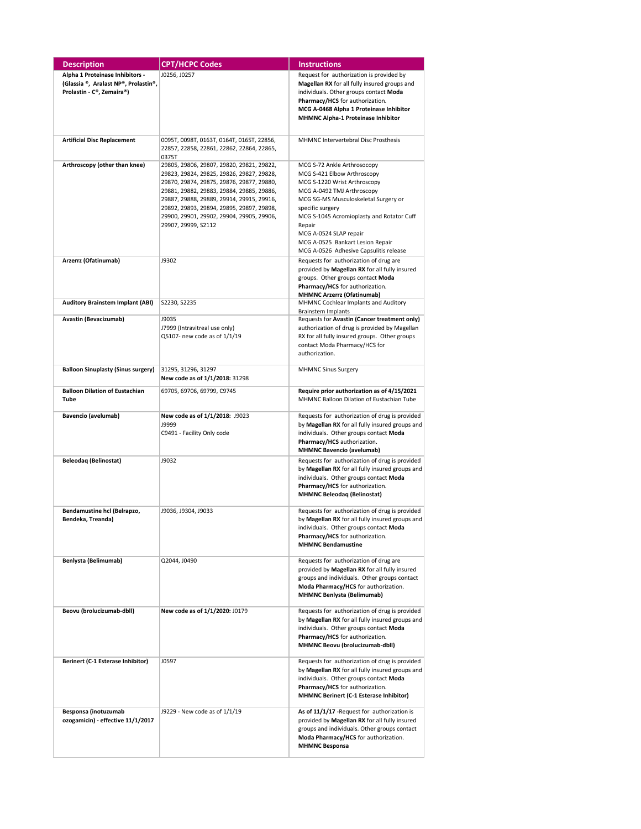| <b>Description</b>                                                                                   | <b>CPT/HCPC Codes</b>                                                                                                                                                                                                                                                                                                                          | <b>Instructions</b>                                                                                                                                                                                                                                                                                                                                 |
|------------------------------------------------------------------------------------------------------|------------------------------------------------------------------------------------------------------------------------------------------------------------------------------------------------------------------------------------------------------------------------------------------------------------------------------------------------|-----------------------------------------------------------------------------------------------------------------------------------------------------------------------------------------------------------------------------------------------------------------------------------------------------------------------------------------------------|
| Alpha 1 Proteinase Inhibitors -<br>(Glassia ®, Aralast NP®, Prolastin®,<br>Prolastin - C®, Zemaira®) | J0256, J0257                                                                                                                                                                                                                                                                                                                                   | Request for authorization is provided by<br>Magellan RX for all fully insured groups and<br>individuals. Other groups contact Moda<br>Pharmacy/HCS for authorization.<br>MCG A-0468 Alpha 1 Proteinase Inhibitor<br>MHMNC Alpha-1 Proteinase Inhibitor                                                                                              |
| <b>Artificial Disc Replacement</b>                                                                   | 0095T, 0098T, 0163T, 0164T, 0165T, 22856,<br>22857, 22858, 22861, 22862, 22864, 22865,<br>0375T                                                                                                                                                                                                                                                | MHMNC Intervertebral Disc Prosthesis                                                                                                                                                                                                                                                                                                                |
| Arthroscopy (other than knee)                                                                        | 29805, 29806, 29807, 29820, 29821, 29822,<br>29823, 29824, 29825, 29826, 29827, 29828,<br>29870, 29874, 29875, 29876, 29877, 29880,<br>29881, 29882, 29883, 29884, 29885, 29886,<br>29887, 29888, 29889, 29914, 29915, 29916,<br>29892, 29893, 29894, 29895, 29897, 29898,<br>29900, 29901, 29902, 29904, 29905, 29906,<br>29907, 29999, S2112 | MCG S-72 Ankle Arthrosocopy<br>MCG S-421 Elbow Arthroscopy<br>MCG S-1220 Wrist Arthroscopy<br>MCG A-0492 TMJ Arthroscopy<br>MCG SG-MS Musculoskeletal Surgery or<br>specific surgery<br>MCG S-1045 Acromioplasty and Rotator Cuff<br>Repair<br>MCG A-0524 SLAP repair<br>MCG A-0525 Bankart Lesion Repair<br>MCG A-0526 Adhesive Capsulitis release |
| Arzerrz (Ofatinumab)                                                                                 | J9302                                                                                                                                                                                                                                                                                                                                          | Requests for authorization of drug are<br>provided by Magellan RX for all fully insured<br>groups. Other groups contact Moda<br>Pharmacy/HCS for authorization.<br><b>MHMNC Arzerrz (Ofatinumab)</b>                                                                                                                                                |
| <b>Auditory Brainstem Implant (ABI)</b>                                                              | S2230, S2235                                                                                                                                                                                                                                                                                                                                   | MHMNC Cochlear Implants and Auditory<br>Brainstem Implants                                                                                                                                                                                                                                                                                          |
| Avastin (Bevacizumab)                                                                                | J9035<br>J7999 (Intravitreal use only)<br>Q5107- new code as of 1/1/19                                                                                                                                                                                                                                                                         | Requests for Avastin (Cancer treatment only)<br>authorization of drug is provided by Magellan<br>RX for all fully insured groups. Other groups<br>contact Moda Pharmacy/HCS for<br>authorization.                                                                                                                                                   |
| <b>Balloon Sinuplasty (Sinus surgery)</b>                                                            | 31295, 31296, 31297<br>New code as of 1/1/2018: 31298                                                                                                                                                                                                                                                                                          | <b>MHMNC Sinus Surgery</b>                                                                                                                                                                                                                                                                                                                          |
| <b>Balloon Dilation of Eustachian</b><br>Tube                                                        | 69705, 69706, 69799, C9745                                                                                                                                                                                                                                                                                                                     | Require prior authorization as of 4/15/2021<br>MHMNC Balloon Dilation of Eustachian Tube                                                                                                                                                                                                                                                            |
| Bavencio (avelumab)                                                                                  | New code as of 1/1/2018: J9023<br>J9999<br>C9491 - Facility Only code                                                                                                                                                                                                                                                                          | Requests for authorization of drug is provided<br>by Magellan RX for all fully insured groups and<br>individuals. Other groups contact Moda<br>Pharmacy/HCS authorization.<br><b>MHMNC Bavencio (avelumab)</b>                                                                                                                                      |
| Beleodaq (Belinostat)                                                                                | J9032                                                                                                                                                                                                                                                                                                                                          | Requests for authorization of drug is provided<br>by Magellan RX for all fully insured groups and<br>individuals. Other groups contact Moda<br>Pharmacy/HCS for authorization.<br><b>MHMNC Beleodaq (Belinostat)</b>                                                                                                                                |
| Bendamustine hcl (Belrapzo,<br>Bendeka, Treanda)                                                     | J9036, J9304, J9033                                                                                                                                                                                                                                                                                                                            | Requests for authorization of drug is provided<br>by Magellan RX for all fully insured groups and<br>individuals. Other groups contact Moda<br>Pharmacy/HCS for authorization.<br><b>MHMNC Bendamustine</b>                                                                                                                                         |
| Benlysta (Belimumab)                                                                                 | Q2044, J0490                                                                                                                                                                                                                                                                                                                                   | Requests for authorization of drug are<br>provided by Magellan RX for all fully insured<br>groups and individuals. Other groups contact<br>Moda Pharmacy/HCS for authorization.<br><b>MHMNC Benlysta (Belimumab)</b>                                                                                                                                |
| Beovu (brolucizumab-dbll)                                                                            | New code as of 1/1/2020: J0179                                                                                                                                                                                                                                                                                                                 | Requests for authorization of drug is provided<br>by Magellan RX for all fully insured groups and<br>individuals. Other groups contact Moda<br>Pharmacy/HCS for authorization.<br>MHMNC Beovu (brolucizumab-dbll)                                                                                                                                   |
| Berinert (C-1 Esterase Inhibitor)                                                                    | J0597                                                                                                                                                                                                                                                                                                                                          | Requests for authorization of drug is provided<br>by Magellan RX for all fully insured groups and<br>individuals. Other groups contact Moda<br>Pharmacy/HCS for authorization.<br>MHMNC Berinert (C-1 Esterase Inhibitor)                                                                                                                           |
| Besponsa (inotuzumab<br>ozogamicin) - effective 11/1/2017                                            | J9229 - New code as of 1/1/19                                                                                                                                                                                                                                                                                                                  | As of 11/1/17 - Request for authorization is<br>provided by Magellan RX for all fully insured<br>groups and individuals. Other groups contact<br>Moda Pharmacy/HCS for authorization.<br><b>MHMNC Besponsa</b>                                                                                                                                      |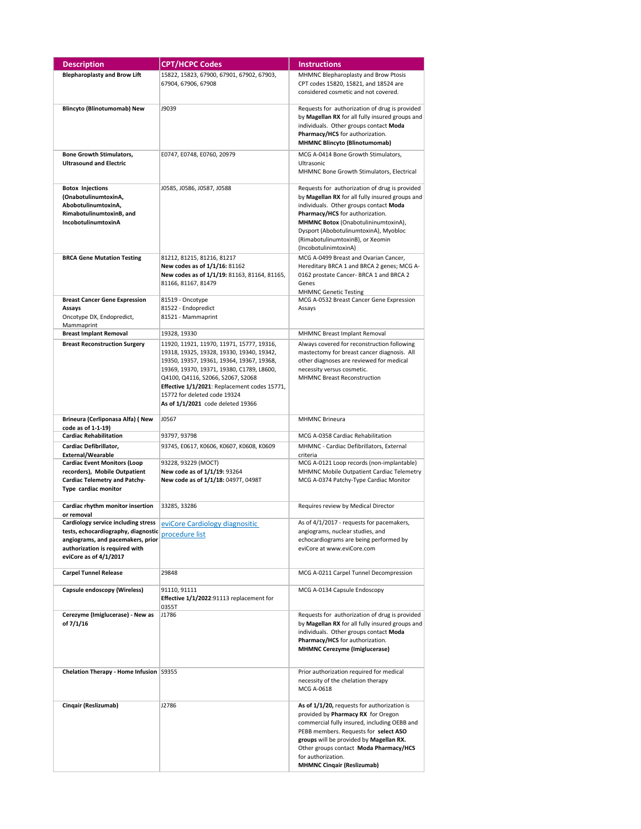| <b>Description</b>                                                | <b>CPT/HCPC Codes</b>                                                             | <b>Instructions</b>                                                       |
|-------------------------------------------------------------------|-----------------------------------------------------------------------------------|---------------------------------------------------------------------------|
| <b>Blepharoplasty and Brow Lift</b>                               | 15822, 15823, 67900, 67901, 67902, 67903,                                         | MHMNC Blepharoplasty and Brow Ptosis                                      |
|                                                                   | 67904, 67906, 67908                                                               | CPT codes 15820, 15821, and 18524 are                                     |
|                                                                   |                                                                                   | considered cosmetic and not covered.                                      |
| <b>Blincyto (Blinotumomab) New</b>                                | J9039                                                                             | Requests for authorization of drug is provided                            |
|                                                                   |                                                                                   | by Magellan RX for all fully insured groups and                           |
|                                                                   |                                                                                   | individuals. Other groups contact Moda                                    |
|                                                                   |                                                                                   | Pharmacy/HCS for authorization.                                           |
|                                                                   |                                                                                   | <b>MHMNC Blincyto (Blinotumomab)</b>                                      |
| <b>Bone Growth Stimulators,</b><br><b>Ultrasound and Electric</b> | E0747, E0748, E0760, 20979                                                        | MCG A-0414 Bone Growth Stimulators,                                       |
|                                                                   |                                                                                   | Ultrasonic<br>MHMNC Bone Growth Stimulators, Electrical                   |
|                                                                   |                                                                                   |                                                                           |
| <b>Botox Injections</b>                                           | J0585, J0586, J0587, J0588                                                        | Requests for authorization of drug is provided                            |
| (OnabotulinumtoxinA,                                              |                                                                                   | by Magellan RX for all fully insured groups and                           |
| AbobotulinumtoxinA,<br>RimabotulinumtoxinB, and                   |                                                                                   | individuals. Other groups contact Moda<br>Pharmacy/HCS for authorization. |
| IncobotulinumtoxinA                                               |                                                                                   | MHMNC Botox (OnabotulininumtoxinA),                                       |
|                                                                   |                                                                                   | Dysport (AbobotulinumtoxinA), Myobloc                                     |
|                                                                   |                                                                                   | (RimabotulinumtoxinB), or Xeomin                                          |
| <b>BRCA Gene Mutation Testing</b>                                 | 81212, 81215, 81216, 81217                                                        | (IncobotulinimtoxinA)<br>MCG A-0499 Breast and Ovarian Cancer,            |
|                                                                   | New codes as of 1/1/16: 81162                                                     | Hereditary BRCA 1 and BRCA 2 genes; MCG A-                                |
|                                                                   | New codes as of 1/1/19: 81163, 81164, 81165,                                      | 0162 prostate Cancer- BRCA 1 and BRCA 2                                   |
|                                                                   | 81166, 81167, 81479                                                               | Genes                                                                     |
| <b>Breast Cancer Gene Expression</b>                              | 81519 - Oncotype                                                                  | <b>MHMNC Genetic Testing</b><br>MCG A-0532 Breast Cancer Gene Expression  |
| Assays                                                            | 81522 - Endopredict                                                               | Assays                                                                    |
| Oncotype DX, Endopredict,                                         | 81521 - Mammaprint                                                                |                                                                           |
| Mammaprint<br><b>Breast Implant Removal</b>                       | 19328, 19330                                                                      | MHMNC Breast Implant Removal                                              |
| <b>Breast Reconstruction Surgery</b>                              | 11920, 11921, 11970, 11971, 15777, 19316,                                         | Always covered for reconstruction following                               |
|                                                                   | 19318, 19325, 19328, 19330, 19340, 19342,                                         | mastectomy for breast cancer diagnosis. All                               |
|                                                                   | 19350, 19357, 19361, 19364, 19367, 19368,                                         | other diagnoses are reviewed for medical                                  |
|                                                                   | 19369, 19370, 19371, 19380, C1789, L8600,                                         | necessity versus cosmetic.                                                |
|                                                                   | Q4100, Q4116, S2066, S2067, S2068<br>Effective 1/1/2021: Replacement codes 15771, | <b>MHMNC Breast Reconstruction</b>                                        |
|                                                                   | 15772 for deleted code 19324                                                      |                                                                           |
|                                                                   | As of 1/1/2021 code deleted 19366                                                 |                                                                           |
| Brineura (Cerliponasa Alfa) (New                                  | J0567                                                                             | <b>MHMNC Brineura</b>                                                     |
| code as of 1-1-19)                                                |                                                                                   |                                                                           |
| <b>Cardiac Rehabilitation</b>                                     | 93797, 93798                                                                      | MCG A-0358 Cardiac Rehabilitation                                         |
| Cardiac Defibrillator,<br>External/Wearable                       | 93745, E0617, K0606, K0607, K0608, K0609                                          | MHMNC - Cardiac Defibrillators, External<br>criteria                      |
| <b>Cardiac Event Monitors (Loop</b>                               | 93228, 93229 (MOCT)                                                               | MCG A-0121 Loop records (non-implantable)                                 |
| recorders), Mobile Outpatient                                     | New code as of 1/1/19: 93264                                                      | MHMNC Mobile Outpatient Cardiac Telemetry                                 |
| Cardiac Telemetry and Patchy-<br>Type cardiac monitor             | New code as of 1/1/18: 0497T, 0498T                                               | MCG A-0374 Patchy-Type Cardiac Monitor                                    |
|                                                                   |                                                                                   |                                                                           |
| Cardiac rhythm monitor insertion                                  | 33285, 33286                                                                      | Requires review by Medical Director                                       |
| or removal                                                        | Cardiology service including stress evicore Cardiology diagnositic                | As of 4/1/2017 - requests for pacemakers,                                 |
| tests, echocardiography, diagnostic                               | <u>procedure list</u>                                                             | angiograms, nuclear studies, and                                          |
| angiograms, and pacemakers, prior                                 |                                                                                   | echocardiograms are being performed by                                    |
| authorization is required with<br>eviCore as of 4/1/2017          |                                                                                   | eviCore at www.eviCore.com                                                |
|                                                                   |                                                                                   |                                                                           |
| <b>Carpel Tunnel Release</b>                                      | 29848                                                                             | MCG A-0211 Carpel Tunnel Decompression                                    |
| Capsule endoscopy (Wireless)                                      | 91110, 91111                                                                      | MCG A-0134 Capsule Endoscopy                                              |
|                                                                   | Effective 1/1/2022:91113 replacement for                                          |                                                                           |
| Cerezyme (Imiglucerase) - New as                                  | 0355T<br>J1786                                                                    | Requests for authorization of drug is provided                            |
| of 7/1/16                                                         |                                                                                   | by Magellan RX for all fully insured groups and                           |
|                                                                   |                                                                                   | individuals. Other groups contact Moda                                    |
|                                                                   |                                                                                   | Pharmacy/HCS for authorization.<br>MHMNC Cerezyme (Imiglucerase)          |
|                                                                   |                                                                                   |                                                                           |
| Chelation Therapy - Home Infusion S9355                           |                                                                                   | Prior authorization required for medical                                  |
|                                                                   |                                                                                   | necessity of the chelation therapy                                        |
|                                                                   |                                                                                   | MCG A-0618                                                                |
| Cinqair (Reslizumab)                                              | J2786                                                                             | As of 1/1/20, requests for authorization is                               |
|                                                                   |                                                                                   | provided by Pharmacy RX for Oregon                                        |
|                                                                   |                                                                                   | commercial fully insured, including OEBB and                              |
|                                                                   |                                                                                   | PEBB members. Requests for select ASO                                     |
|                                                                   |                                                                                   | groups will be provided by Magellan RX.                                   |
|                                                                   |                                                                                   | Other groups contact Moda Pharmacy/HCS<br>for authorization.              |
|                                                                   |                                                                                   | <b>MHMNC Cinqair (Reslizumab)</b>                                         |
|                                                                   |                                                                                   |                                                                           |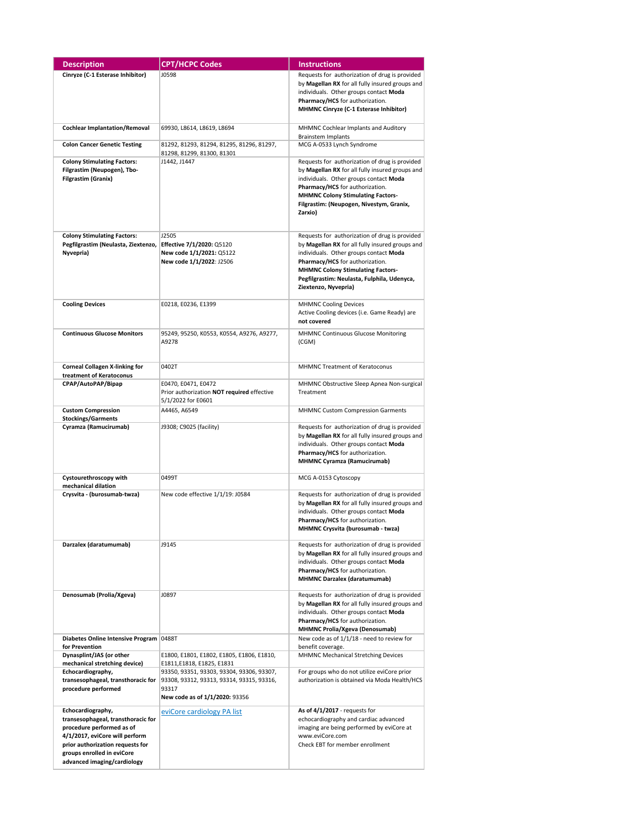| <b>Description</b>                                                                                                                                                                                                      | <b>CPT/HCPC Codes</b>                                                                                                             | <b>Instructions</b>                                                                                                                                                                                                                                                                               |
|-------------------------------------------------------------------------------------------------------------------------------------------------------------------------------------------------------------------------|-----------------------------------------------------------------------------------------------------------------------------------|---------------------------------------------------------------------------------------------------------------------------------------------------------------------------------------------------------------------------------------------------------------------------------------------------|
| Cinryze (C-1 Esterase Inhibitor)                                                                                                                                                                                        | J0598                                                                                                                             | Requests for authorization of drug is provided<br>by Magellan RX for all fully insured groups and<br>individuals. Other groups contact Moda<br>Pharmacy/HCS for authorization.<br>MHMNC Cinryze (C-1 Esterase Inhibitor)                                                                          |
| <b>Cochlear Implantation/Removal</b>                                                                                                                                                                                    | 69930, L8614, L8619, L8694                                                                                                        | MHMNC Cochlear Implants and Auditory<br>Brainstem Implants                                                                                                                                                                                                                                        |
| <b>Colon Cancer Genetic Testing</b>                                                                                                                                                                                     | 81292, 81293, 81294, 81295, 81296, 81297,<br>81298, 81299, 81300, 81301                                                           | MCG A-0533 Lynch Syndrome                                                                                                                                                                                                                                                                         |
| <b>Colony Stimulating Factors:</b><br>Filgrastim (Neupogen), Tbo-<br><b>Filgrastim (Granix)</b>                                                                                                                         | J1442, J1447                                                                                                                      | Requests for authorization of drug is provided<br>by Magellan RX for all fully insured groups and<br>individuals. Other groups contact Moda<br>Pharmacy/HCS for authorization.<br><b>MHMNC Colony Stimulating Factors-</b><br>Filgrastim: (Neupogen, Nivestym, Granix,<br>Zarxio)                 |
| <b>Colony Stimulating Factors:</b><br>Pegfilgrastim (Neulasta, Ziextenzo,<br>Nyvepria)                                                                                                                                  | J2505<br>Effective 7/1/2020: Q5120<br>New code 1/1/2021: Q5122<br>New code 1/1/2022: J2506                                        | Requests for authorization of drug is provided<br>by Magellan RX for all fully insured groups and<br>individuals. Other groups contact Moda<br>Pharmacy/HCS for authorization.<br><b>MHMNC Colony Stimulating Factors-</b><br>Pegfilgrastim: Neulasta, Fulphila, Udenyca,<br>Ziextenzo, Nyvepria) |
| <b>Cooling Devices</b>                                                                                                                                                                                                  | E0218, E0236, E1399                                                                                                               | <b>MHMNC Cooling Devices</b><br>Active Cooling devices (i.e. Game Ready) are<br>not covered                                                                                                                                                                                                       |
| <b>Continuous Glucose Monitors</b>                                                                                                                                                                                      | 95249, 95250, K0553, K0554, A9276, A9277,<br>A9278                                                                                | MHMNC Continuous Glucose Monitoring<br>(CGM)                                                                                                                                                                                                                                                      |
| <b>Corneal Collagen X-linking for</b><br>treatment of Keratoconus                                                                                                                                                       | 0402T                                                                                                                             | <b>MHMNC Treatment of Keratoconus</b>                                                                                                                                                                                                                                                             |
| CPAP/AutoPAP/Bipap                                                                                                                                                                                                      | E0470, E0471, E0472<br>Prior authorization NOT required effective<br>5/1/2022 for E0601                                           | MHMNC Obstructive Sleep Apnea Non-surgical<br>Treatment                                                                                                                                                                                                                                           |
| <b>Custom Compression</b>                                                                                                                                                                                               | A4465, A6549                                                                                                                      | <b>MHMNC Custom Compression Garments</b>                                                                                                                                                                                                                                                          |
| <b>Stockings/Garments</b><br>Cyramza (Ramucirumab)                                                                                                                                                                      | J9308; C9025 (facility)                                                                                                           | Requests for authorization of drug is provided<br>by Magellan RX for all fully insured groups and<br>individuals. Other groups contact Moda<br>Pharmacy/HCS for authorization.<br><b>MHMNC Cyramza (Ramucirumab)</b>                                                                              |
| Cystourethroscopy with                                                                                                                                                                                                  | 0499T                                                                                                                             | MCG A-0153 Cytoscopy                                                                                                                                                                                                                                                                              |
| mechanical dilation<br>Crysvita - (burosumab-twza)                                                                                                                                                                      | New code effective 1/1/19: J0584                                                                                                  | Requests for authorization of drug is provided<br>by Magellan RX for all fully insured groups and<br>individuals. Other groups contact Moda<br>Pharmacy/HCS for authorization.<br>MHMNC Crysvita (burosumab - twza)                                                                               |
| Darzalex (daratumumab)                                                                                                                                                                                                  | J9145                                                                                                                             | Requests for authorization of drug is provided<br>by Magellan RX for all fully insured groups and<br>individuals. Other groups contact Moda<br>Pharmacy/HCS for authorization.<br><b>MHMNC Darzalex (daratumumab)</b>                                                                             |
| Denosumab (Prolia/Xgeva)                                                                                                                                                                                                | J0897                                                                                                                             | Requests for authorization of drug is provided<br>by Magellan RX for all fully insured groups and<br>individuals. Other groups contact Moda<br>Pharmacy/HCS for authorization.<br><b>MHMNC Prolia/Xgeva (Denosumab)</b>                                                                           |
| Diabetes Online Intensive Program 0488T<br>for Prevention                                                                                                                                                               |                                                                                                                                   | New code as of 1/1/18 - need to review for<br>benefit coverage.                                                                                                                                                                                                                                   |
| Dynasplint/JAS (or other<br>mechanical stretching device)                                                                                                                                                               | E1800, E1801, E1802, E1805, E1806, E1810,<br>E1811, E1818, E1825, E1831                                                           | <b>MHMNC Mechanical Stretching Devices</b>                                                                                                                                                                                                                                                        |
| Echocardiography,<br>transesophageal, transthoracic for<br>procedure performed                                                                                                                                          | 93350, 93351, 93303, 93304, 93306, 93307,<br>93308, 93312, 93313, 93314, 93315, 93316,<br>93317<br>New code as of 1/1/2020: 93356 | For groups who do not utilize eviCore prior<br>authorization is obtained via Moda Health/HCS                                                                                                                                                                                                      |
| Echocardiography,<br>transesophageal, transthoracic for<br>procedure performed as of<br>4/1/2017, eviCore will perform<br>prior authorization requests for<br>groups enrolled in eviCore<br>advanced imaging/cardiology | eviCore cardiology PA list                                                                                                        | As of 4/1/2017 - requests for<br>echocardiography and cardiac advanced<br>imaging are being performed by eviCore at<br>www.eviCore.com<br>Check EBT for member enrollment                                                                                                                         |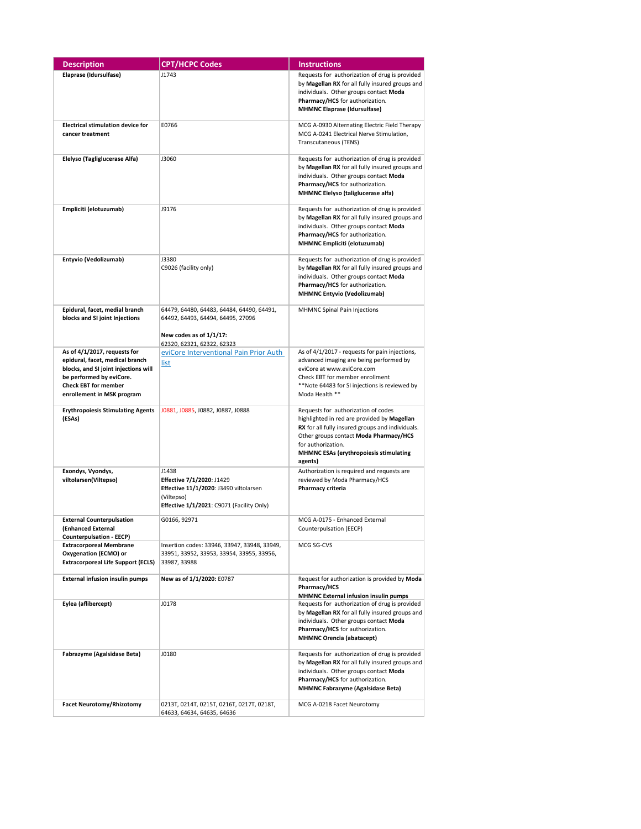| <b>Description</b>                                                                 | <b>CPT/HCPC Codes</b>                                                                                                                   | <b>Instructions</b>                                                                                                                                                                                                                                         |
|------------------------------------------------------------------------------------|-----------------------------------------------------------------------------------------------------------------------------------------|-------------------------------------------------------------------------------------------------------------------------------------------------------------------------------------------------------------------------------------------------------------|
| Elaprase (Idursulfase)                                                             | J1743                                                                                                                                   | Requests for authorization of drug is provided<br>by Magellan RX for all fully insured groups and<br>individuals. Other groups contact Moda<br>Pharmacy/HCS for authorization.<br><b>MHMNC Elaprase (Idursulfase)</b>                                       |
| <b>Electrical stimulation device for</b><br>cancer treatment                       | E0766                                                                                                                                   | MCG A-0930 Alternating Electric Field Therapy<br>MCG A-0241 Electrical Nerve Stimulation,<br>Transcutaneous (TENS)                                                                                                                                          |
| Elelyso (Tagliglucerase Alfa)                                                      | J3060                                                                                                                                   | Requests for authorization of drug is provided<br>by Magellan RX for all fully insured groups and<br>individuals. Other groups contact Moda<br>Pharmacy/HCS for authorization.<br><b>MHMNC Elelyso (taliglucerase alfa)</b>                                 |
| Empliciti (elotuzumab)                                                             | J9176                                                                                                                                   | Requests for authorization of drug is provided<br>by Magellan RX for all fully insured groups and<br>individuals. Other groups contact Moda<br>Pharmacy/HCS for authorization.<br><b>MHMNC Empliciti (elotuzumab)</b>                                       |
| Entyvio (Vedolizumab)                                                              | J3380<br>C9026 (facility only)                                                                                                          | Requests for authorization of drug is provided<br>by Magellan RX for all fully insured groups and<br>individuals. Other groups contact Moda<br>Pharmacy/HCS for authorization.<br><b>MHMNC Entyvio (Vedolizumab)</b>                                        |
| Epidural, facet, medial branch<br>blocks and SI joint Injections                   | 64479, 64480, 64483, 64484, 64490, 64491,<br>64492, 64493, 64494, 64495, 27096<br>New codes as of 1/1/17:<br>62320, 62321, 62322, 62323 | MHMNC Spinal Pain Injections                                                                                                                                                                                                                                |
| As of 4/1/2017, requests for                                                       | eviCore Interventional Pain Prior Auth                                                                                                  | As of 4/1/2017 - requests for pain injections,                                                                                                                                                                                                              |
| epidural, facet, medical branch<br>blocks, and SI joint injections will            | list                                                                                                                                    | advanced imaging are being performed by<br>eviCore at www.eviCore.com                                                                                                                                                                                       |
| be performed by eviCore.                                                           |                                                                                                                                         | Check EBT for member enrollment                                                                                                                                                                                                                             |
| <b>Check EBT for member</b><br>enrollement in MSK program                          |                                                                                                                                         | **Note 64483 for SI injections is reviewed by<br>Moda Health **                                                                                                                                                                                             |
| <b>Erythropoiesis Stimulating Agents</b><br>(ESAs)                                 | J0881, J0885, J0882, J0887, J0888                                                                                                       | Requests for authorization of codes<br>highlighted in red are provided by Magellan<br>RX for all fully insured groups and individuals.<br>Other groups contact Moda Pharmacy/HCS<br>for authorization.<br>MHMNC ESAs (erythropoiesis stimulating<br>agents) |
| Exondys, Vyondys,                                                                  | J1438                                                                                                                                   | Authorization is required and requests are                                                                                                                                                                                                                  |
| viltolarsen(Viltepso)                                                              | Effective 7/1/2020: J1429<br>Effective 11/1/2020: J3490 viltolarsen                                                                     | reviewed by Moda Pharmacy/HCS<br>Pharmacy criteria                                                                                                                                                                                                          |
|                                                                                    | (Viltepso)<br><b>Effective 1/1/2021</b> : C9071 (Facility Only)                                                                         |                                                                                                                                                                                                                                                             |
| <b>External Counterpulsation</b><br>(Enhanced External<br>Counterpulsation - EECP) | G0166, 92971                                                                                                                            | MCG A-0175 - Enhanced External<br>Counterpulsation (EECP)                                                                                                                                                                                                   |
| <b>Extracorporeal Membrane</b>                                                     | Insertion codes: 33946, 33947, 33948, 33949,                                                                                            | MCG SG-CVS                                                                                                                                                                                                                                                  |
| Oxygenation (ECMO) or<br><b>Extracorporeal Life Support (ECLS)</b>                 | 33951, 33952, 33953, 33954, 33955, 33956,<br>33987, 33988                                                                               |                                                                                                                                                                                                                                                             |
| <b>External infusion insulin pumps</b>                                             | New as of 1/1/2020: E0787                                                                                                               | Request for authorization is provided by Moda<br>Pharmacy/HCS<br>MHMNC External infusion insulin pumps                                                                                                                                                      |
| Eylea (aflibercept)                                                                | J0178                                                                                                                                   | Requests for authorization of drug is provided<br>by Magellan RX for all fully insured groups and<br>individuals. Other groups contact Moda<br>Pharmacy/HCS for authorization.<br><b>MHMNC Orencia (abatacept)</b>                                          |
| Fabrazyme (Agalsidase Beta)                                                        | J0180                                                                                                                                   | Requests for authorization of drug is provided<br>by Magellan RX for all fully insured groups and<br>individuals. Other groups contact Moda<br>Pharmacy/HCS for authorization.<br><b>MHMNC Fabrazyme (Agalsidase Beta)</b>                                  |
| <b>Facet Neurotomy/Rhizotomy</b>                                                   | 0213Т, 0214Т, 0215Т, 0216Т, 0217Т, 0218Т,                                                                                               | MCG A-0218 Facet Neurotomy                                                                                                                                                                                                                                  |
|                                                                                    | 64633, 64634, 64635, 64636                                                                                                              |                                                                                                                                                                                                                                                             |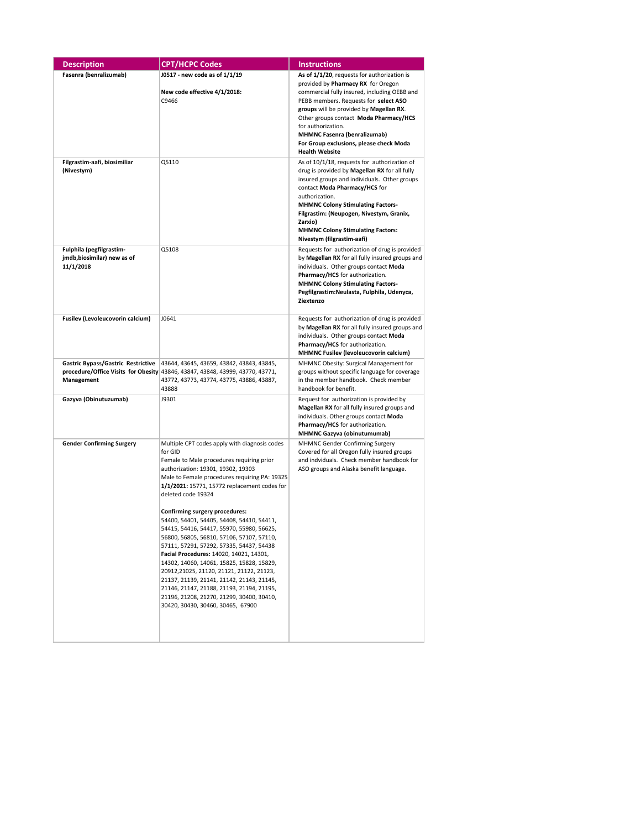| <b>Description</b>                                                   | <b>CPT/HCPC Codes</b>                                                                                                                                                                                                                                                                                                                                                                                                                                                                                                                                                                                                                                                                                                                                                                                          | <b>Instructions</b>                                                                                                                                                                                                                                                                                                                                                                              |
|----------------------------------------------------------------------|----------------------------------------------------------------------------------------------------------------------------------------------------------------------------------------------------------------------------------------------------------------------------------------------------------------------------------------------------------------------------------------------------------------------------------------------------------------------------------------------------------------------------------------------------------------------------------------------------------------------------------------------------------------------------------------------------------------------------------------------------------------------------------------------------------------|--------------------------------------------------------------------------------------------------------------------------------------------------------------------------------------------------------------------------------------------------------------------------------------------------------------------------------------------------------------------------------------------------|
| Fasenra (benralizumab)                                               | J0517 - new code as of 1/1/19<br>New code effective 4/1/2018:<br>C9466                                                                                                                                                                                                                                                                                                                                                                                                                                                                                                                                                                                                                                                                                                                                         | As of 1/1/20, requests for authorization is<br>provided by Pharmacy RX for Oregon<br>commercial fully insured, including OEBB and<br>PEBB members. Requests for select ASO<br>groups will be provided by Magellan RX.<br>Other groups contact Moda Pharmacy/HCS<br>for authorization.<br><b>MHMNC Fasenra (benralizumab)</b><br>For Group exclusions, please check Moda<br><b>Health Website</b> |
| Filgrastim-aafi, biosimiliar<br>(Nivestym)                           | Q5110                                                                                                                                                                                                                                                                                                                                                                                                                                                                                                                                                                                                                                                                                                                                                                                                          | As of 10/1/18, requests for authorization of<br>drug is provided by Magellan RX for all fully<br>insured groups and individuals. Other groups<br>contact Moda Pharmacy/HCS for<br>authorization.<br><b>MHMNC Colony Stimulating Factors-</b><br>Filgrastim: (Neupogen, Nivestym, Granix,<br>Zarxio)<br><b>MHMNC Colony Stimulating Factors:</b><br>Nivestym (filgrastim-aafi)                    |
| Fulphila (pegfilgrastim-<br>jmdb, biosimilar) new as of<br>11/1/2018 | Q5108                                                                                                                                                                                                                                                                                                                                                                                                                                                                                                                                                                                                                                                                                                                                                                                                          | Requests for authorization of drug is provided<br>by Magellan RX for all fully insured groups and<br>individuals. Other groups contact Moda<br>Pharmacy/HCS for authorization.<br><b>MHMNC Colony Stimulating Factors-</b><br>Pegfilgrastim: Neulasta, Fulphila, Udenyca,<br>Ziextenzo                                                                                                           |
| Fusilev (Levoleucovorin calcium)                                     | J0641                                                                                                                                                                                                                                                                                                                                                                                                                                                                                                                                                                                                                                                                                                                                                                                                          | Requests for authorization of drug is provided<br>by Magellan RX for all fully insured groups and<br>individuals. Other groups contact Moda<br>Pharmacy/HCS for authorization.<br>MHMNC Fusilev (levoleucovorin calcium)                                                                                                                                                                         |
| Gastric Bypass/Gastric Restrictive<br>Management                     | 43644, 43645, 43659, 43842, 43843, 43845,<br>procedure/Office Visits for Obesity 43846, 43847, 43848, 43999, 43770, 43771,<br>43772, 43773, 43774, 43775, 43886, 43887,<br>43888                                                                                                                                                                                                                                                                                                                                                                                                                                                                                                                                                                                                                               | MHMNC Obesity: Surgical Management for<br>groups without specific language for coverage<br>in the member handbook. Check member<br>handbook for benefit.                                                                                                                                                                                                                                         |
| Gazyva (Obinutuzumab)                                                | J9301                                                                                                                                                                                                                                                                                                                                                                                                                                                                                                                                                                                                                                                                                                                                                                                                          | Request for authorization is provided by<br>Magellan RX for all fully insured groups and<br>individuals. Other groups contact Moda<br>Pharmacy/HCS for authorization.<br><b>MHMNC Gazyva (obinutumumab)</b>                                                                                                                                                                                      |
| <b>Gender Confirming Surgery</b>                                     | Multiple CPT codes apply with diagnosis codes<br>for GID<br>Female to Male procedures requiring prior<br>authorization: 19301, 19302, 19303<br>Male to Female procedures requiring PA: 19325<br>1/1/2021: 15771, 15772 replacement codes for<br>deleted code 19324<br><b>Confirming surgery procedures:</b><br>54400, 54401, 54405, 54408, 54410, 54411,<br>54415, 54416, 54417, 55970, 55980, 56625,<br>56800, 56805, 56810, 57106, 57107, 57110,<br>57111, 57291, 57292, 57335, 54437, 54438<br>Facial Procedures: 14020, 14021, 14301,<br>14302, 14060, 14061, 15825, 15828, 15829,<br>20912,21025, 21120, 21121, 21122, 21123,<br>21137, 21139, 21141, 21142, 21143, 21145,<br>21146, 21147, 21188, 21193, 21194, 21195,<br>21196, 21208, 21270, 21299, 30400, 30410,<br>30420, 30430, 30460, 30465, 67900 | MHMNC Gender Confirming Surgery<br>Covered for all Oregon fully insured groups<br>and indviduals. Check member handbook for<br>ASO groups and Alaska benefit language.                                                                                                                                                                                                                           |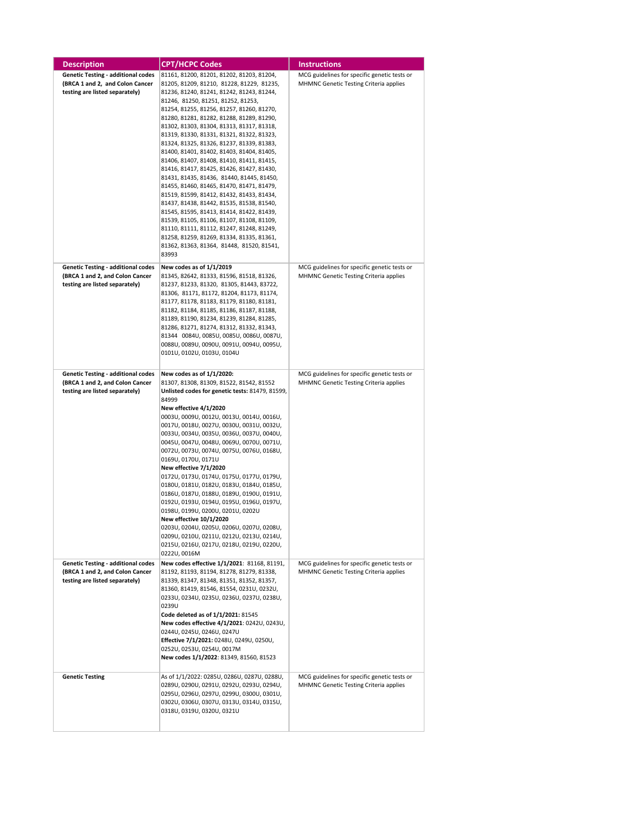| Description                               | <b>CPT/HCPC Codes</b>                                                                  | <b>Instructions</b>                          |
|-------------------------------------------|----------------------------------------------------------------------------------------|----------------------------------------------|
| <b>Genetic Testing - additional codes</b> | 81161, 81200, 81201, 81202, 81203, 81204,                                              | MCG guidelines for specific genetic tests or |
| (BRCA 1 and 2, and Colon Cancer           | 81205, 81209, 81210, 81228, 81229, 81235,                                              | MHMNC Genetic Testing Criteria applies       |
| testing are listed separately)            | 81236, 81240, 81241, 81242, 81243, 81244,                                              |                                              |
|                                           | 81246, 81250, 81251, 81252, 81253,<br>81254, 81255, 81256, 81257, 81260, 81270,        |                                              |
|                                           | 81280, 81281, 81282, 81288, 81289, 81290,                                              |                                              |
|                                           | 81302, 81303, 81304, 81313, 81317, 81318,                                              |                                              |
|                                           | 81319, 81330, 81331, 81321, 81322, 81323,                                              |                                              |
|                                           | 81324, 81325, 81326, 81237, 81339, 81383,<br>81400, 81401, 81402, 81403, 81404, 81405, |                                              |
|                                           | 81406, 81407, 81408, 81410, 81411, 81415,                                              |                                              |
|                                           | 81416, 81417, 81425, 81426, 81427, 81430,                                              |                                              |
|                                           | 81431, 81435, 81436, 81440, 81445, 81450,                                              |                                              |
|                                           | 81455, 81460, 81465, 81470, 81471, 81479,                                              |                                              |
|                                           | 81519, 81599, 81412, 81432, 81433, 81434,<br>81437, 81438, 81442, 81535, 81538, 81540, |                                              |
|                                           | 81545, 81595, 81413, 81414, 81422, 81439,                                              |                                              |
|                                           | 81539, 81105, 81106, 81107, 81108, 81109,                                              |                                              |
|                                           | 81110, 81111, 81112, 81247, 81248, 81249,                                              |                                              |
|                                           | 81258, 81259, 81269, 81334, 81335, 81361,<br>81362, 81363, 81364, 81448, 81520, 81541, |                                              |
|                                           | 83993                                                                                  |                                              |
| <b>Genetic Testing - additional codes</b> | New codes as of 1/1/2019                                                               | MCG guidelines for specific genetic tests or |
| (BRCA 1 and 2, and Colon Cancer           | 81345, 82642, 81333, 81596, 81518, 81326,                                              | MHMNC Genetic Testing Criteria applies       |
| testing are listed separately)            | 81237, 81233, 81320, 81305, 81443, 83722,                                              |                                              |
|                                           | 81306, 81171, 81172, 81204, 81173, 81174,<br>81177, 81178, 81183, 81179, 81180, 81181, |                                              |
|                                           | 81182, 81184, 81185, 81186, 81187, 81188,                                              |                                              |
|                                           | 81189, 81190, 81234, 81239, 81284, 81285,                                              |                                              |
|                                           | 81286, 81271, 81274, 81312, 81332, 81343,                                              |                                              |
|                                           | 81344 0084U, 0085U, 0085U, 0086U, 0087U,<br>0088U, 0089U, 0090U, 0091U, 0094U, 0095U,  |                                              |
|                                           | 0101U, 0102U, 0103U, 0104U                                                             |                                              |
|                                           |                                                                                        |                                              |
| <b>Genetic Testing - additional codes</b> | New codes as of 1/1/2020:                                                              | MCG guidelines for specific genetic tests or |
| (BRCA 1 and 2, and Colon Cancer           | 81307, 81308, 81309, 81522, 81542, 81552                                               | MHMNC Genetic Testing Criteria applies       |
| testing are listed separately)            | Unlisted codes for genetic tests: 81479, 81599,                                        |                                              |
|                                           | 84999<br>New effective 4/1/2020                                                        |                                              |
|                                           | 0003U, 0009U, 0012U, 0013U, 0014U, 0016U,                                              |                                              |
|                                           | 0017U, 0018U, 0027U, 0030U, 0031U, 0032U,                                              |                                              |
|                                           | 0033U, 0034U, 0035U, 0036U, 0037U, 0040U,                                              |                                              |
|                                           | 0045U, 0047U, 0048U, 0069U, 0070U, 0071U,<br>0072U, 0073U, 0074U, 0075U, 0076U, 0168U, |                                              |
|                                           | 0169U, 0170U, 0171U                                                                    |                                              |
|                                           | New effective 7/1/2020                                                                 |                                              |
|                                           | 0172U, 0173U, 0174U, 0175U, 0177U, 0179U,                                              |                                              |
|                                           | 0180U, 0181U, 0182U, 0183U, 0184U, 0185U,<br>0186U, 0187U, 0188U, 0189U, 0190U, 0191U, |                                              |
|                                           | 0192U, 0193U, 0194U, 0195U, 0196U, 0197U,                                              |                                              |
|                                           | 0198U, 0199U, 0200U, 0201U, 0202U                                                      |                                              |
|                                           | New effective 10/1/2020                                                                |                                              |
|                                           | 0203U, 0204U, 0205U, 0206U, 0207U, 0208U,                                              |                                              |
|                                           | 0209U, 0210U, 0211U, 0212U, 0213U, 0214U,<br>0215U, 0216U, 0217U, 0218U, 0219U, 0220U, |                                              |
|                                           | 0222U, 0016M                                                                           |                                              |
| <b>Genetic Testing - additional codes</b> | New codes effective 1/1/2021: 81168, 81191,                                            | MCG guidelines for specific genetic tests or |
| (BRCA 1 and 2, and Colon Cancer           | 81192, 81193, 81194, 81278, 81279, 81338,                                              | MHMNC Genetic Testing Criteria applies       |
| testing are listed separately)            | 81339, 81347, 81348, 81351, 81352, 81357,<br>81360, 81419, 81546, 81554, 0231U, 0232U, |                                              |
|                                           | 0233U, 0234U, 0235U, 0236U, 0237U, 0238U,                                              |                                              |
|                                           | 0239U                                                                                  |                                              |
|                                           | Code deleted as of 1/1/2021: 81545                                                     |                                              |
|                                           | New codes effective 4/1/2021: 0242U, 0243U,<br>0244U, 0245U, 0246U, 0247U              |                                              |
|                                           | Effective 7/1/2021: 0248U, 0249U, 0250U,                                               |                                              |
|                                           | 0252U, 0253U, 0254U, 0017M                                                             |                                              |
|                                           | New codes 1/1/2022: 81349, 81560, 81523                                                |                                              |
| <b>Genetic Testing</b>                    | As of 1/1/2022: 0285U, 0286U, 0287U, 0288U,                                            | MCG guidelines for specific genetic tests or |
|                                           | 0289U, 0290U, 0291U, 0292U, 0293U, 0294U,                                              | MHMNC Genetic Testing Criteria applies       |
|                                           | 0295U, 0296U, 0297U, 0299U, 0300U, 0301U,                                              |                                              |
|                                           | 0302U, 0306U, 0307U, 0313U, 0314U, 0315U,<br>0318U, 0319U, 0320U, 0321U                |                                              |
|                                           |                                                                                        |                                              |
|                                           |                                                                                        |                                              |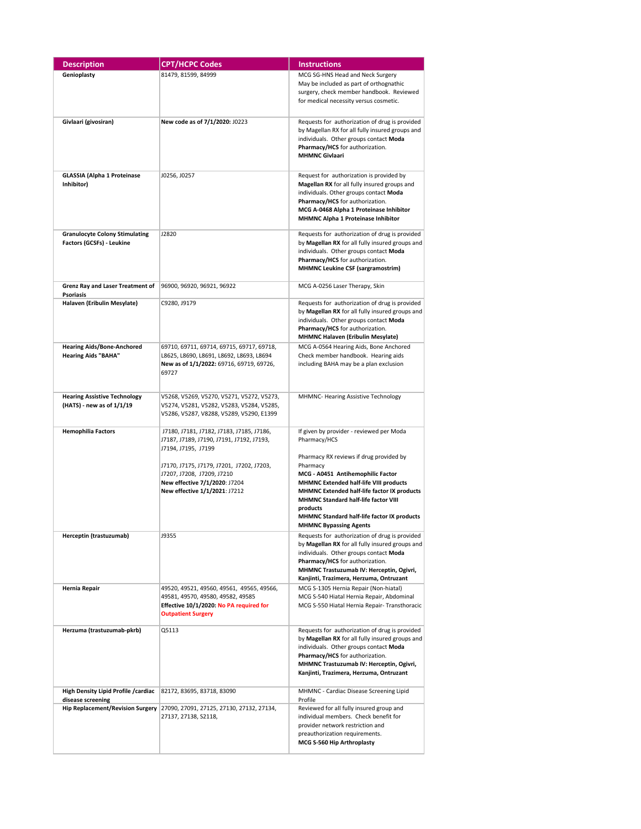| <b>Description</b>                                                 | <b>CPT/HCPC Codes</b>                                                                                                                                                                                                                                      | <b>Instructions</b>                                                                                                                                                                                                                                                                                                                                                                      |
|--------------------------------------------------------------------|------------------------------------------------------------------------------------------------------------------------------------------------------------------------------------------------------------------------------------------------------------|------------------------------------------------------------------------------------------------------------------------------------------------------------------------------------------------------------------------------------------------------------------------------------------------------------------------------------------------------------------------------------------|
| Genioplasty                                                        | 81479, 81599, 84999                                                                                                                                                                                                                                        | MCG SG-HNS Head and Neck Surgery<br>May be included as part of orthognathic<br>surgery, check member handbook. Reviewed<br>for medical necessity versus cosmetic.                                                                                                                                                                                                                        |
| Givlaari (givosiran)                                               | New code as of 7/1/2020: J0223                                                                                                                                                                                                                             | Requests for authorization of drug is provided<br>by Magellan RX for all fully insured groups and<br>individuals. Other groups contact Moda<br>Pharmacy/HCS for authorization.<br><b>MHMNC Givlaari</b>                                                                                                                                                                                  |
| <b>GLASSIA (Alpha 1 Proteinase</b><br>Inhibitor)                   | J0256, J0257                                                                                                                                                                                                                                               | Request for authorization is provided by<br>Magellan RX for all fully insured groups and<br>individuals. Other groups contact Moda<br>Pharmacy/HCS for authorization.<br>MCG A-0468 Alpha 1 Proteinase Inhibitor<br>MHMNC Alpha 1 Proteinase Inhibitor                                                                                                                                   |
| <b>Granulocyte Colony Stimulating</b><br>Factors (GCSFs) - Leukine | J2820                                                                                                                                                                                                                                                      | Requests for authorization of drug is provided<br>by Magellan RX for all fully insured groups and<br>individuals. Other groups contact Moda<br>Pharmacy/HCS for authorization.<br><b>MHMNC Leukine CSF (sargramostrim)</b>                                                                                                                                                               |
| Grenz Ray and Laser Treatment of<br>Psoriasis                      | 96900, 96920, 96921, 96922                                                                                                                                                                                                                                 | MCG A-0256 Laser Therapy, Skin                                                                                                                                                                                                                                                                                                                                                           |
| Halaven (Eribulin Mesylate)                                        | C9280, J9179                                                                                                                                                                                                                                               | Requests for authorization of drug is provided<br>by Magellan RX for all fully insured groups and<br>individuals. Other groups contact Moda<br>Pharmacy/HCS for authorization.<br><b>MHMNC Halaven (Eribulin Mesylate)</b>                                                                                                                                                               |
| <b>Hearing Aids/Bone-Anchored</b><br><b>Hearing Aids "BAHA"</b>    | 69710, 69711, 69714, 69715, 69717, 69718,<br>L8625, L8690, L8691, L8692, L8693, L8694<br>New as of 1/1/2022: 69716, 69719, 69726,<br>69727                                                                                                                 | MCG A-0564 Hearing Aids, Bone Anchored<br>Check member handbook. Hearing aids<br>including BAHA may be a plan exclusion                                                                                                                                                                                                                                                                  |
| <b>Hearing Assistive Technology</b><br>(HATS) - new as of 1/1/19   | V5268, V5269, V5270, V5271, V5272, V5273,<br>V5274, V5281, V5282, V5283, V5284, V5285,<br>V5286, V5287, V8288, V5289, V5290, E1399                                                                                                                         | MHMNC- Hearing Assistive Technology                                                                                                                                                                                                                                                                                                                                                      |
| <b>Hemophilia Factors</b>                                          | J7180, J7181, J7182, J7183, J7185, J7186,<br>J7187, J7189, J7190, J7191, J7192, J7193,<br>J7194, J7195, J7199<br>J7170, J7175, J7179, J7201, J7202, J7203,<br>J7207, J7208, J7209, J7210<br>New effective 7/1/2020: J7204<br>New effective 1/1/2021: J7212 | If given by provider - reviewed per Moda<br>Pharmacy/HCS<br>Pharmacy RX reviews if drug provided by<br>Pharmacy<br>MCG - A0451 Antihemophilic Factor<br>MHMNC Extended half-life VIII products<br>MHMNC Extended half-life factor IX products<br>MHMNC Standard half-life factor VIII<br>products<br><b>MHMNC Standard half-life factor IX products</b><br><b>MHMNC Bypassing Agents</b> |
| Herceptin (trastuzumab)                                            | J9355                                                                                                                                                                                                                                                      | Requests for authorization of drug is provided<br>by Magellan RX for all fully insured groups and<br>individuals. Other groups contact Moda<br>Pharmacy/HCS for authorization.<br>MHMNC Trastuzumab IV: Herceptin, Ogivri,<br>Kanjinti, Trazimera, Herzuma, Ontruzant                                                                                                                    |
| Hernia Repair                                                      | 49520, 49521, 49560, 49561, 49565, 49566,<br>49581, 49570, 49580, 49582, 49585<br>Effective 10/1/2020: No PA required for<br><b>Outpatient Surgery</b>                                                                                                     | MCG S-1305 Hernia Repair (Non-hiatal)<br>MCG S-540 Hiatal Hernia Repair, Abdominal<br>MCG S-550 Hiatal Hernia Repair- Transthoracic                                                                                                                                                                                                                                                      |
| Herzuma (trastuzumab-pkrb)                                         | Q5113                                                                                                                                                                                                                                                      | Requests for authorization of drug is provided<br>by Magellan RX for all fully insured groups and<br>individuals. Other groups contact Moda<br>Pharmacy/HCS for authorization.<br>MHMNC Trastuzumab IV: Herceptin, Ogivri,<br>Kanjinti, Trazimera, Herzuma, Ontruzant                                                                                                                    |
| High Density Lipid Profile / cardiac                               | 82172, 83695, 83718, 83090                                                                                                                                                                                                                                 | MHMNC - Cardiac Disease Screening Lipid<br>Profile                                                                                                                                                                                                                                                                                                                                       |
| disease screening<br><b>Hip Replacement/Revision Surgery</b>       | 27090, 27091, 27125, 27130, 27132, 27134,<br>27137, 27138, S2118,                                                                                                                                                                                          | Reviewed for all fully insured group and<br>individual members. Check benefit for<br>provider network restriction and<br>preauthorization requirements.<br>MCG S-560 Hip Arthroplasty                                                                                                                                                                                                    |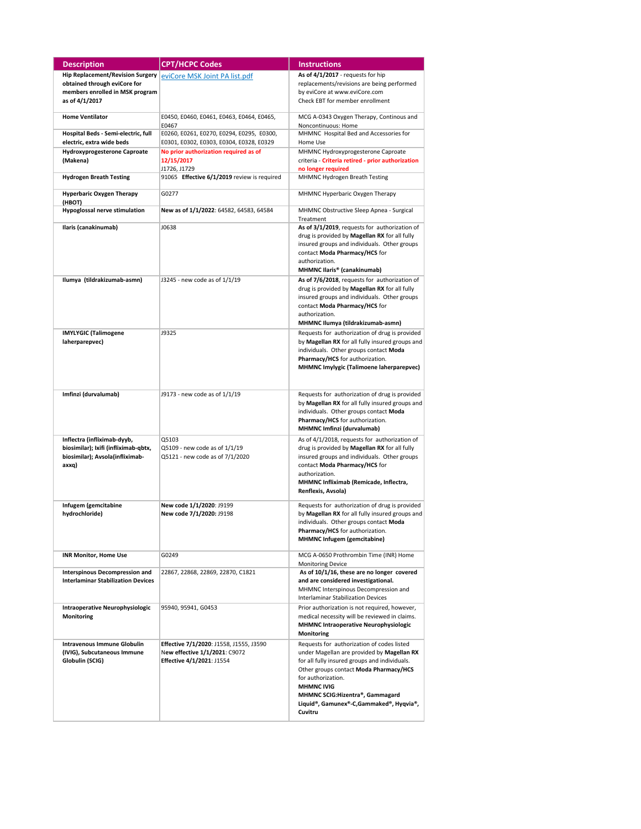| <b>Description</b>                                                                                              | <b>CPT/HCPC Codes</b>                                                                                 | <b>Instructions</b>                                                                                                                                                                                                                                                                                                     |
|-----------------------------------------------------------------------------------------------------------------|-------------------------------------------------------------------------------------------------------|-------------------------------------------------------------------------------------------------------------------------------------------------------------------------------------------------------------------------------------------------------------------------------------------------------------------------|
| <b>Hip Replacement/Revision Surgery</b>                                                                         | eviCore MSK Joint PA list.pdf                                                                         | As of 4/1/2017 - requests for hip                                                                                                                                                                                                                                                                                       |
| obtained through eviCore for                                                                                    |                                                                                                       | replacements/revisions are being performed                                                                                                                                                                                                                                                                              |
| members enrolled in MSK program                                                                                 |                                                                                                       | by eviCore at www.eviCore.com                                                                                                                                                                                                                                                                                           |
| as of 4/1/2017                                                                                                  |                                                                                                       | Check EBT for member enrollment                                                                                                                                                                                                                                                                                         |
| <b>Home Ventilator</b>                                                                                          | E0450, E0460, E0461, E0463, E0464, E0465,<br>E0467                                                    | MCG A-0343 Oxygen Therapy, Continous and<br>Noncontinuous: Home                                                                                                                                                                                                                                                         |
| Hospital Beds - Semi-electric, full<br>electric, extra wide beds                                                | E0260, E0261, E0270, E0294, E0295, E0300,<br>E0301, E0302, E0303, E0304, E0328, E0329                 | MHMNC Hospital Bed and Accessories for<br>Home Use                                                                                                                                                                                                                                                                      |
| <b>Hydroxyprogesterone Caproate</b>                                                                             | No prior authorization required as of                                                                 | MHMNC Hydroxyprogesterone Caproate                                                                                                                                                                                                                                                                                      |
| (Makena)                                                                                                        | 12/15/2017<br>J1726, J1729                                                                            | criteria - Criteria retired - prior authorization<br>no longer required                                                                                                                                                                                                                                                 |
| <b>Hydrogen Breath Testing</b>                                                                                  | 91065 Effective 6/1/2019 review is required                                                           | MHMNC Hydrogen Breath Testing                                                                                                                                                                                                                                                                                           |
| <b>Hyperbaric Oxygen Therapy</b><br>(НВОТ)                                                                      | G0277                                                                                                 | MHMNC Hyperbaric Oxygen Therapy                                                                                                                                                                                                                                                                                         |
| Hypoglossal nerve stimulation                                                                                   | New as of 1/1/2022: 64582, 64583, 64584                                                               | MHMNC Obstructive Sleep Apnea - Surgical<br>Treatment                                                                                                                                                                                                                                                                   |
| Ilaris (canakinumab)                                                                                            | J0638                                                                                                 | As of 3/1/2019, requests for authorization of<br>drug is provided by Magellan RX for all fully<br>insured groups and individuals. Other groups<br>contact Moda Pharmacy/HCS for<br>authorization.<br>MHMNC Ilaris® (canakinumab)                                                                                        |
| Ilumya (tildrakizumab-asmn)                                                                                     | J3245 - new code as of 1/1/19                                                                         | As of 7/6/2018, requests for authorization of<br>drug is provided by Magellan RX for all fully<br>insured groups and individuals. Other groups<br>contact Moda Pharmacy/HCS for<br>authorization.<br>MHMNC Ilumya (tildrakizumab-asmn)                                                                                  |
| <b>IMYLYGIC (Talimogene</b><br>laherparepvec)                                                                   | J9325                                                                                                 | Requests for authorization of drug is provided<br>by Magellan RX for all fully insured groups and<br>individuals. Other groups contact Moda<br>Pharmacy/HCS for authorization.<br>MHMNC Imylygic (Talimoene laherparepvec)                                                                                              |
| Imfinzi (durvalumab)                                                                                            | J9173 - new code as of 1/1/19                                                                         | Requests for authorization of drug is provided<br>by Magellan RX for all fully insured groups and<br>individuals. Other groups contact Moda<br>Pharmacy/HCS for authorization.<br>MHMNC Imfinzi (durvalumab)                                                                                                            |
| Inflectra (infliximab-dyyb,<br>biosimilar); Ixifi (infliximab-qbtx,<br>biosimilar); Avsola(infliximab-<br>axxq) | Q5103<br>Q5109 - new code as of 1/1/19<br>Q5121 - new code as of 7/1/2020                             | As of 4/1/2018, requests for authorization of<br>drug is provided by Magellan RX for all fully<br>insured groups and individuals. Other groups<br>contact Moda Pharmacy/HCS for<br>authorization.<br>MHMNC Infliximab (Remicade, Inflectra,<br>Renflexis, Avsola)                                                       |
| Infugem (gemcitabine<br>hydrochloride)                                                                          | New code 1/1/2020: J9199<br>New code 7/1/2020: J9198                                                  | Requests for authorization of drug is provided<br>by Magellan RX for all fully insured groups and<br>individuals. Other groups contact Moda<br>Pharmacy/HCS for authorization.<br>MHMNC Infugem (gemcitabine)                                                                                                           |
| <b>INR Monitor, Home Use</b>                                                                                    | G0249                                                                                                 | MCG A-0650 Prothrombin Time (INR) Home<br><b>Monitoring Device</b>                                                                                                                                                                                                                                                      |
| <b>Interspinous Decompression and</b><br><b>Interlaminar Stabilization Devices</b>                              | 22867, 22868, 22869, 22870, C1821                                                                     | As of 10/1/16, these are no longer covered<br>and are considered investigational.<br>MHMNC Interspinous Decompression and<br><b>Interlaminar Stabilization Devices</b>                                                                                                                                                  |
| Intraoperative Neurophysiologic<br>Monitoring                                                                   | 95940, 95941, G0453                                                                                   | Prior authorization is not required, however,<br>medical necessity will be reviewed in claims.<br>MHMNC Intraoperative Neurophysiologic<br>Monitoring                                                                                                                                                                   |
| Intravenous Immune Globulin<br>(IVIG), Subcutaneous Immune<br>Globulin (SCIG)                                   | Effective 7/1/2020: J1558, J1555, J3590<br>New effective 1/1/2021: C9072<br>Effective 4/1/2021: J1554 | Requests for authorization of codes listed<br>under Magellan are provided by Magellan RX<br>for all fully insured groups and individuals.<br>Other groups contact Moda Pharmacy/HCS<br>for authorization.<br><b>MHMNC IVIG</b><br>MHMNC SCIG:Hizentra®, Gammagard<br>Liquid®, Gamunex®-C,Gammaked®, Hyqvia®,<br>Cuvitru |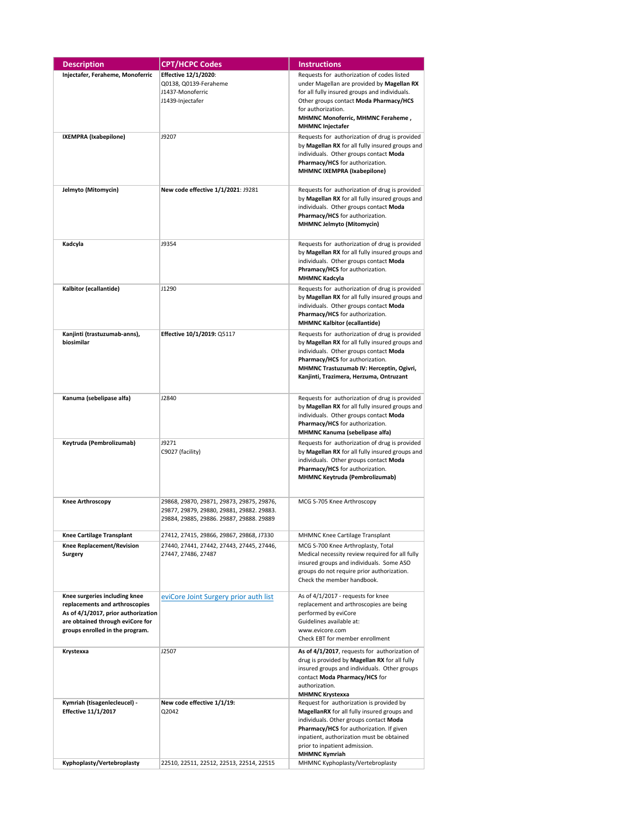| <b>Description</b>                         | <b>CPT/HCPC Codes</b>                     | <b>Instructions</b>                                                                               |
|--------------------------------------------|-------------------------------------------|---------------------------------------------------------------------------------------------------|
| Injectafer, Feraheme, Monoferric           | <b>Effective 12/1/2020:</b>               | Requests for authorization of codes listed                                                        |
|                                            | Q0138, Q0139-Feraheme                     | under Magellan are provided by Magellan RX                                                        |
|                                            | J1437-Monoferric                          | for all fully insured groups and individuals.                                                     |
|                                            | J1439-Injectafer                          | Other groups contact Moda Pharmacy/HCS                                                            |
|                                            |                                           | for authorization.                                                                                |
|                                            |                                           | MHMNC Monoferric, MHMNC Feraheme,<br><b>MHMNC Injectafer</b>                                      |
| IXEMPRA (Ixabepilone)                      | J9207                                     | Requests for authorization of drug is provided                                                    |
|                                            |                                           | by Magellan RX for all fully insured groups and                                                   |
|                                            |                                           | individuals. Other groups contact Moda                                                            |
|                                            |                                           | Pharmacy/HCS for authorization.                                                                   |
|                                            |                                           | MHMNC IXEMPRA (Ixabepilone)                                                                       |
| Jelmyto (Mitomycin)                        | New code effective 1/1/2021: J9281        | Requests for authorization of drug is provided                                                    |
|                                            |                                           | by Magellan RX for all fully insured groups and                                                   |
|                                            |                                           | individuals. Other groups contact Moda                                                            |
|                                            |                                           | Pharmacy/HCS for authorization.                                                                   |
|                                            |                                           | <b>MHMNC Jelmyto (Mitomycin)</b>                                                                  |
| Kadcyla                                    | J9354                                     | Requests for authorization of drug is provided                                                    |
|                                            |                                           | by Magellan RX for all fully insured groups and                                                   |
|                                            |                                           | individuals. Other groups contact Moda                                                            |
|                                            |                                           | Phramacy/HCS for authorization.                                                                   |
| Kalbitor (ecallantide)                     | J1290                                     | <b>MHMNC Kadcyla</b><br>Requests for authorization of drug is provided                            |
|                                            |                                           | by Magellan RX for all fully insured groups and                                                   |
|                                            |                                           | individuals. Other groups contact Moda                                                            |
|                                            |                                           | Pharmacy/HCS for authorization.                                                                   |
|                                            |                                           | <b>MHMNC Kalbitor (ecallantide)</b>                                                               |
| Kanjinti (trastuzumab-anns),<br>biosimilar | Effective 10/1/2019: Q5117                | Requests for authorization of drug is provided                                                    |
|                                            |                                           | by Magellan RX for all fully insured groups and<br>individuals. Other groups contact Moda         |
|                                            |                                           | Pharmacy/HCS for authorization.                                                                   |
|                                            |                                           | MHMNC Trastuzumab IV: Herceptin, Ogivri,                                                          |
|                                            |                                           | Kanjinti, Trazimera, Herzuma, Ontruzant                                                           |
|                                            |                                           |                                                                                                   |
| Kanuma (sebelipase alfa)                   | J2840                                     | Requests for authorization of drug is provided<br>by Magellan RX for all fully insured groups and |
|                                            |                                           | individuals. Other groups contact Moda                                                            |
|                                            |                                           | Pharmacy/HCS for authorization.                                                                   |
|                                            |                                           | MHMNC Kanuma (sebelipase alfa)                                                                    |
| Keytruda (Pembrolizumab)                   | J9271                                     | Requests for authorization of drug is provided                                                    |
|                                            | C9027 (facility)                          | by Magellan RX for all fully insured groups and<br>individuals. Other groups contact Moda         |
|                                            |                                           | Pharmacy/HCS for authorization.                                                                   |
|                                            |                                           | <b>MHMNC Keytruda (Pembrolizumab)</b>                                                             |
|                                            |                                           |                                                                                                   |
| <b>Knee Arthroscopy</b>                    | 29868, 29870, 29871, 29873, 29875, 29876, | MCG S-705 Knee Arthroscopy                                                                        |
|                                            | 29877, 29879, 29880, 29881, 29882. 29883. |                                                                                                   |
|                                            | 29884, 29885, 29886. 29887, 29888. 29889  |                                                                                                   |
| Knee Cartilage Transplant                  | 27412, 27415, 29866, 29867, 29868, J7330  | MHMNC Knee Cartilage Transplant                                                                   |
| Knee Replacement/Revision                  | 27440, 27441, 27442, 27443, 27445, 27446, | MCG S-700 Knee Arthroplasty, Total                                                                |
| Surgery                                    | 27447, 27486, 27487                       | Medical necessity review required for all fully<br>insured groups and individuals. Some ASO       |
|                                            |                                           | groups do not require prior authorization.                                                        |
|                                            |                                           | Check the member handbook.                                                                        |
| Knee surgeries including knee              |                                           | As of 4/1/2017 - requests for knee                                                                |
| replacements and arthroscopies             | eviCore Joint Surgery prior auth list     | replacement and arthroscopies are being                                                           |
| As of 4/1/2017, prior authorization        |                                           | performed by eviCore                                                                              |
| are obtained through eviCore for           |                                           | Guidelines available at:                                                                          |
| groups enrolled in the program.            |                                           | www.evicore.com<br>Check EBT for member enrollment                                                |
|                                            |                                           |                                                                                                   |
| Krystexxa                                  | J2507                                     | As of 4/1/2017, requests for authorization of<br>drug is provided by Magellan RX for all fully    |
|                                            |                                           | insured groups and individuals. Other groups                                                      |
|                                            |                                           | contact Moda Pharmacy/HCS for                                                                     |
|                                            |                                           | authorization.<br><b>MHMNC Krystexxa</b>                                                          |
| Kymriah (tisagenlecleucel) -               | New code effective 1/1/19:                | Request for authorization is provided by                                                          |
| <b>Effective 11/1/2017</b>                 | Q2042                                     | MagellanRX for all fully insured groups and                                                       |
|                                            |                                           | individuals. Other groups contact Moda                                                            |
|                                            |                                           | Pharmacy/HCS for authorization. If given                                                          |
|                                            |                                           | inpatient, authorization must be obtained<br>prior to inpatient admission.                        |
|                                            |                                           | <b>MHMNC Kymriah</b>                                                                              |
| Kyphoplasty/Vertebroplasty                 | 22510, 22511, 22512, 22513, 22514, 22515  | MHMNC Kyphoplasty/Vertebroplasty                                                                  |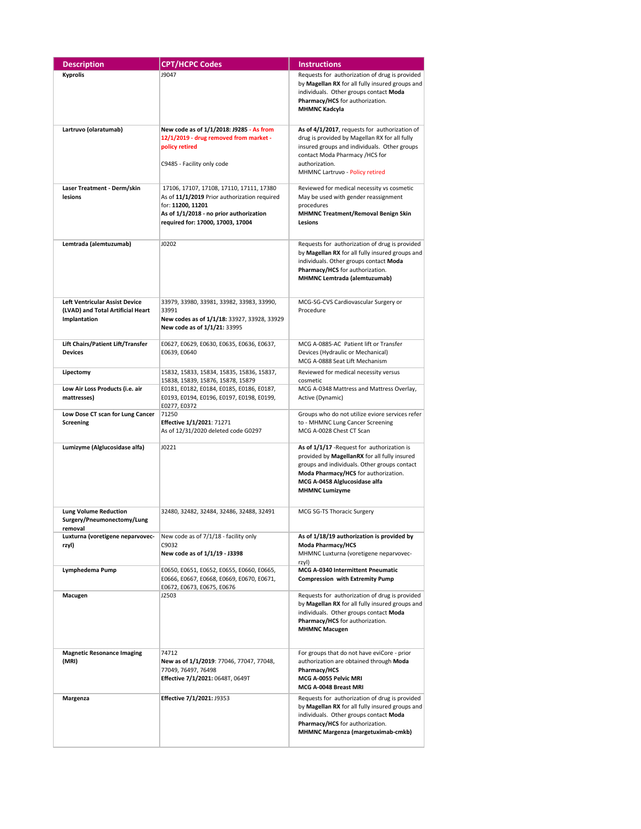| <b>Description</b>                                                                         | <b>CPT/HCPC Codes</b>                                                                                                                                                                         | <b>Instructions</b>                                                                                                                                                                                                                           |
|--------------------------------------------------------------------------------------------|-----------------------------------------------------------------------------------------------------------------------------------------------------------------------------------------------|-----------------------------------------------------------------------------------------------------------------------------------------------------------------------------------------------------------------------------------------------|
| <b>Kyprolis</b>                                                                            | J9047                                                                                                                                                                                         | Requests for authorization of drug is provided<br>by Magellan RX for all fully insured groups and<br>individuals. Other groups contact Moda<br>Pharmacy/HCS for authorization.<br><b>MHMNC Kadcyla</b>                                        |
| Lartruvo (olaratumab)                                                                      | New code as of 1/1/2018: J9285 - As from<br>12/1/2019 - drug removed from market -<br>policy retired<br>C9485 - Facility only code                                                            | As of 4/1/2017, requests for authorization of<br>drug is provided by Magellan RX for all fully<br>insured groups and individuals. Other groups<br>contact Moda Pharmacy /HCS for<br>authorization.<br>MHMNC Lartruvo - Policy retired         |
| Laser Treatment - Derm/skin<br>lesions                                                     | 17106, 17107, 17108, 17110, 17111, 17380<br>As of 11/1/2019 Prior authorization required<br>for: 11200, 11201<br>As of 1/1/2018 - no prior authorization<br>required for: 17000, 17003, 17004 | Reviewed for medical necessity vs cosmetic<br>May be used with gender reassignment<br>procedures<br><b>MHMNC Treatment/Removal Benign Skin</b><br>Lesions                                                                                     |
| Lemtrada (alemtuzumab)                                                                     | J0202                                                                                                                                                                                         | Requests for authorization of drug is provided<br>by Magellan RX for all fully insured groups and<br>individuals. Other groups contact Moda<br>Pharmacy/HCS for authorization.<br>MHMNC Lemtrada (alemtuzumab)                                |
| <b>Left Ventricular Assist Device</b><br>(LVAD) and Total Artificial Heart<br>Implantation | 33979, 33980, 33981, 33982, 33983, 33990,<br>33991<br>New codes as of 1/1/18: 33927, 33928, 33929<br>New code as of 1/1/21: 33995                                                             | MCG-SG-CVS Cardiovascular Surgery or<br>Procedure                                                                                                                                                                                             |
| Lift Chairs/Patient Lift/Transfer<br><b>Devices</b>                                        | E0627, E0629, E0630, E0635, E0636, E0637,<br>E0639, E0640                                                                                                                                     | MCG A-0885-AC Patient lift or Transfer<br>Devices (Hydraulic or Mechanical)<br>MCG A-0888 Seat Lift Mechanism                                                                                                                                 |
| Lipectomy                                                                                  | 15832, 15833, 15834, 15835, 15836, 15837,<br>15838, 15839, 15876, 15878, 15879                                                                                                                | Reviewed for medical necessity versus<br>cosmetic                                                                                                                                                                                             |
| Low Air Loss Products (i.e. air<br>mattresses)                                             | E0181, E0182, E0184, E0185, E0186, E0187,<br>E0193, E0194, E0196, E0197, E0198, E0199,<br>E0277, E0372                                                                                        | MCG A-0348 Mattress and Mattress Overlay,<br>Active (Dynamic)                                                                                                                                                                                 |
| Low Dose CT scan for Lung Cancer<br>Screening                                              | 71250<br>Effective 1/1/2021: 71271<br>As of 12/31/2020 deleted code G0297                                                                                                                     | Groups who do not utilize eviore services refer<br>to - MHMNC Lung Cancer Screening<br>MCG A-0028 Chest CT Scan                                                                                                                               |
| Lumizyme (Alglucosidase alfa)                                                              | J0221                                                                                                                                                                                         | As of 1/1/17 - Request for authorization is<br>provided by MagellanRX for all fully insured<br>groups and individuals. Other groups contact<br>Moda Pharmacy/HCS for authorization.<br>MCG A-0458 Alglucosidase alfa<br><b>MHMNC Lumizyme</b> |
| <b>Lung Volume Reduction</b><br>Surgery/Pneumonectomy/Lung<br>removal                      | 32480, 32482, 32484, 32486, 32488, 32491                                                                                                                                                      | MCG SG-TS Thoracic Surgery                                                                                                                                                                                                                    |
| Luxturna (voretigene neparvovec-<br>rzyl)                                                  | New code as of 7/1/18 - facility only<br>C9032<br>New code as of 1/1/19 - J3398                                                                                                               | As of 1/18/19 authorization is provided by<br>Moda Pharmacy/HCS<br>MHMNC Luxturna (voretigene neparvovec-<br>rzyl)                                                                                                                            |
| Lymphedema Pump                                                                            | E0650, E0651, E0652, E0655, E0660, E0665,<br>E0666, E0667, E0668, E0669, E0670, E0671,<br>E0672, E0673, E0675, E0676                                                                          | MCG A-0340 Intermittent Pneumatic<br><b>Compression with Extremity Pump</b>                                                                                                                                                                   |
| Macugen                                                                                    | J2503                                                                                                                                                                                         | Requests for authorization of drug is provided<br>by Magellan RX for all fully insured groups and<br>individuals. Other groups contact Moda<br>Pharmacy/HCS for authorization.<br><b>MHMNC Macugen</b>                                        |
| <b>Magnetic Resonance Imaging</b><br>(MRI)                                                 | 74712<br>New as of 1/1/2019: 77046, 77047, 77048,<br>77049, 76497, 76498<br>Effective 7/1/2021: 0648T, 0649T                                                                                  | For groups that do not have eviCore - prior<br>authorization are obtained through Moda<br>Pharmacy/HCS<br>MCG A-0055 Pelvic MRI<br>MCG A-0048 Breast MRI                                                                                      |
| Margenza                                                                                   | Effective 7/1/2021: J9353                                                                                                                                                                     | Requests for authorization of drug is provided<br>by Magellan RX for all fully insured groups and<br>individuals. Other groups contact Moda<br>Pharmacy/HCS for authorization.<br>MHMNC Margenza (margetuximab-cmkb)                          |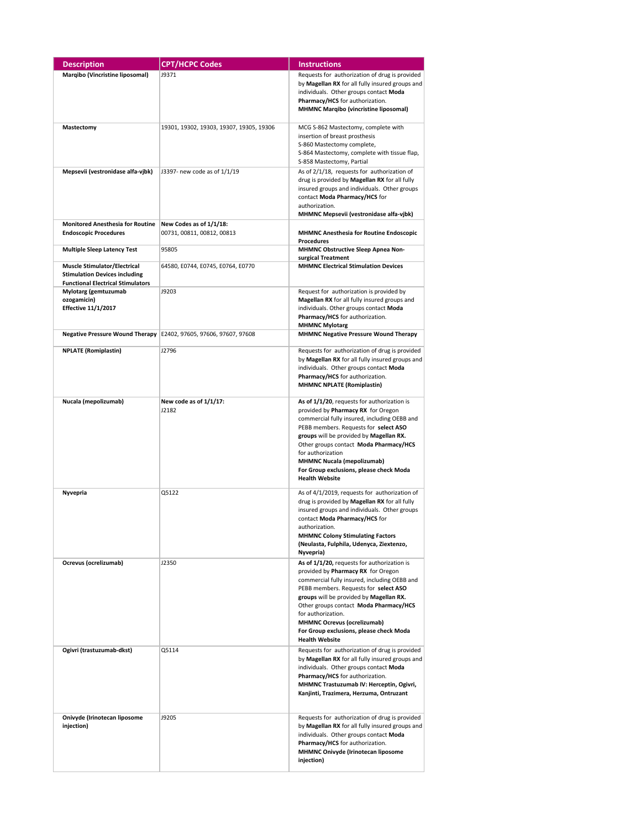| <b>Description</b>                                                                                                      | <b>CPT/HCPC Codes</b>                                               | <b>Instructions</b>                                                                                                                                                                                                                                                                                                                                                                           |
|-------------------------------------------------------------------------------------------------------------------------|---------------------------------------------------------------------|-----------------------------------------------------------------------------------------------------------------------------------------------------------------------------------------------------------------------------------------------------------------------------------------------------------------------------------------------------------------------------------------------|
| Marqibo (Vincristine liposomal)                                                                                         | J9371                                                               | Requests for authorization of drug is provided<br>by Magellan RX for all fully insured groups and<br>individuals. Other groups contact Moda<br>Pharmacy/HCS for authorization.<br><b>MHMNC Marqibo (vincristine liposomal)</b>                                                                                                                                                                |
| Mastectomy                                                                                                              | 19301, 19302, 19303, 19307, 19305, 19306                            | MCG S-862 Mastectomy, complete with<br>insertion of breast prosthesis<br>S-860 Mastectomy complete,<br>S-864 Mastectomy, complete with tissue flap,<br>S-858 Mastectomy, Partial                                                                                                                                                                                                              |
| Mepsevii (vestronidase alfa-vjbk)                                                                                       | J3397- new code as of 1/1/19                                        | As of 2/1/18, requests for authorization of<br>drug is provided by Magellan RX for all fully<br>insured groups and individuals. Other groups<br>contact Moda Pharmacy/HCS for<br>authorization.<br>MHMNC Mepsevii (vestronidase alfa-vjbk)                                                                                                                                                    |
| <b>Monitored Anesthesia for Routine</b><br><b>Endoscopic Procedures</b>                                                 | New Codes as of 1/1/18:<br>00731, 00811, 00812, 00813               | <b>MHMNC Anesthesia for Routine Endoscopic</b><br><b>Procedures</b>                                                                                                                                                                                                                                                                                                                           |
| <b>Multiple Sleep Latency Test</b>                                                                                      | 95805                                                               | MHMNC Obstructive Sleep Apnea Non-<br>surgical Treatment                                                                                                                                                                                                                                                                                                                                      |
| <b>Muscle Stimulator/Electrical</b><br><b>Stimulation Devices including</b><br><b>Functional Electrical Stimulators</b> | 64580, E0744, E0745, E0764, E0770                                   | <b>MHMNC Electrical Stimulation Devices</b>                                                                                                                                                                                                                                                                                                                                                   |
| Mylotarg (gemtuzumab<br>ozogamicin)<br><b>Effective 11/1/2017</b>                                                       | J9203                                                               | Request for authorization is provided by<br>Magellan RX for all fully insured groups and<br>individuals. Other groups contact Moda<br>Pharmacy/HCS for authorization.<br><b>MHMNC Mylotarg</b>                                                                                                                                                                                                |
|                                                                                                                         | Negative Pressure Wound Therapy   E2402, 97605, 97606, 97607, 97608 | <b>MHMNC Negative Pressure Wound Therapy</b>                                                                                                                                                                                                                                                                                                                                                  |
| <b>NPLATE</b> (Romiplastin)                                                                                             | J2796                                                               | Requests for authorization of drug is provided<br>by Magellan RX for all fully insured groups and<br>individuals. Other groups contact Moda<br>Pharmacy/HCS for authorization.<br><b>MHMNC NPLATE (Romiplastin)</b>                                                                                                                                                                           |
| Nucala (mepolizumab)                                                                                                    | New code as of 1/1/17:<br>J2182                                     | As of 1/1/20, requests for authorization is<br>provided by Pharmacy RX for Oregon<br>commercial fully insured, including OEBB and<br>PEBB members. Requests for select ASO<br>groups will be provided by Magellan RX.<br>Other groups contact Moda Pharmacy/HCS<br>for authorization<br><b>MHMNC Nucala (mepolizumab)</b><br>For Group exclusions, please check Moda<br><b>Health Website</b> |
| Nyvepria                                                                                                                | Q5122                                                               | As of 4/1/2019, requests for authorization of<br>drug is provided by Magellan RX for all fully<br>insured groups and individuals. Other groups<br>contact Moda Pharmacy/HCS for<br>authorization.<br><b>MHMNC Colony Stimulating Factors</b><br>(Neulasta, Fulphila, Udenyca, Ziextenzo,<br>Nyvepria)                                                                                         |
| Ocrevus (ocrelizumab)                                                                                                   | J2350                                                               | As of 1/1/20, requests for authorization is<br>provided by Pharmacy RX for Oregon<br>commercial fully insured, including OEBB and<br>PEBB members. Requests for select ASO<br>groups will be provided by Magellan RX.<br>Other groups contact Moda Pharmacy/HCS<br>for authorization.<br>MHMNC Ocrevus (ocrelizumab)<br>For Group exclusions, please check Moda<br><b>Health Website</b>      |
| Ogivri (trastuzumab-dkst)                                                                                               | Q5114                                                               | Requests for authorization of drug is provided<br>by Magellan RX for all fully insured groups and<br>individuals. Other groups contact Moda<br>Pharmacy/HCS for authorization.<br>MHMNC Trastuzumab IV: Herceptin, Ogivri,<br>Kanjinti, Trazimera, Herzuma, Ontruzant                                                                                                                         |
| Onivyde (Irinotecan liposome<br>injection)                                                                              | J9205                                                               | Requests for authorization of drug is provided<br>by Magellan RX for all fully insured groups and<br>individuals. Other groups contact Moda<br>Pharmacy/HCS for authorization.<br>MHMNC Onivyde (Irinotecan liposome<br>injection)                                                                                                                                                            |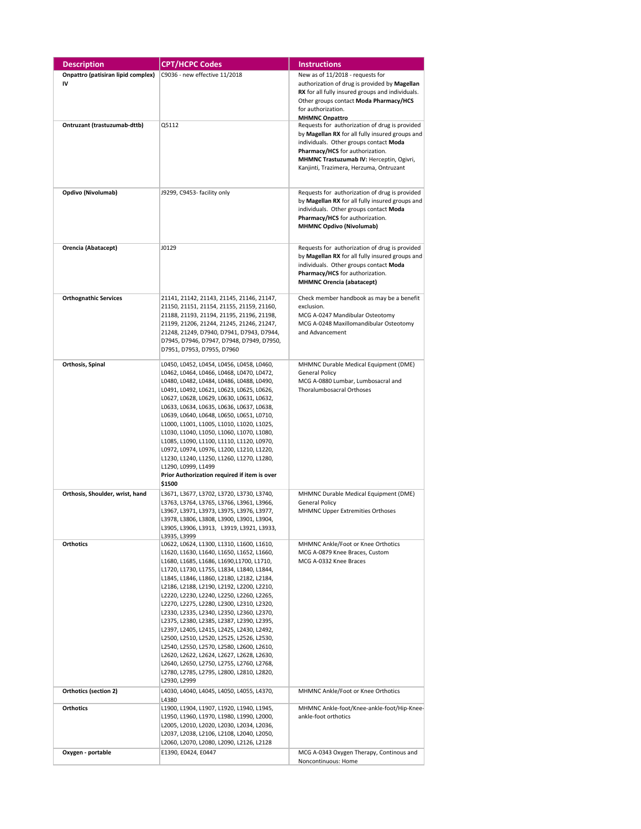| <b>Description</b>                 | <b>CPT/HCPC Codes</b>                                                                  | <b>Instructions</b>                                                                       |
|------------------------------------|----------------------------------------------------------------------------------------|-------------------------------------------------------------------------------------------|
| Onpattro (patisiran lipid complex) | C9036 - new effective 11/2018                                                          | New as of 11/2018 - requests for                                                          |
| IV                                 |                                                                                        | authorization of drug is provided by Magellan                                             |
|                                    |                                                                                        | RX for all fully insured groups and individuals.                                          |
|                                    |                                                                                        | Other groups contact Moda Pharmacy/HCS                                                    |
|                                    |                                                                                        | for authorization.                                                                        |
|                                    |                                                                                        | <b>MHMNC Onpattro</b>                                                                     |
| Ontruzant (trastuzumab-dttb)       | Q5112                                                                                  | Requests for authorization of drug is provided                                            |
|                                    |                                                                                        | by Magellan RX for all fully insured groups and                                           |
|                                    |                                                                                        | individuals. Other groups contact Moda                                                    |
|                                    |                                                                                        | Pharmacy/HCS for authorization.<br>MHMNC Trastuzumab IV: Herceptin, Ogivri,               |
|                                    |                                                                                        | Kanjinti, Trazimera, Herzuma, Ontruzant                                                   |
|                                    |                                                                                        |                                                                                           |
|                                    |                                                                                        |                                                                                           |
| Opdivo (Nivolumab)                 | J9299, C9453- facility only                                                            | Requests for authorization of drug is provided                                            |
|                                    |                                                                                        | by Magellan RX for all fully insured groups and                                           |
|                                    |                                                                                        | individuals. Other groups contact Moda                                                    |
|                                    |                                                                                        | Pharmacy/HCS for authorization.<br><b>MHMNC Opdivo (Nivolumab)</b>                        |
|                                    |                                                                                        |                                                                                           |
|                                    |                                                                                        |                                                                                           |
| Orencia (Abatacept)                | J0129                                                                                  | Requests for authorization of drug is provided                                            |
|                                    |                                                                                        | by Magellan RX for all fully insured groups and<br>individuals. Other groups contact Moda |
|                                    |                                                                                        | Pharmacy/HCS for authorization.                                                           |
|                                    |                                                                                        | <b>MHMNC Orencia (abatacept)</b>                                                          |
|                                    |                                                                                        |                                                                                           |
| <b>Orthognathic Services</b>       | 21141, 21142, 21143, 21145, 21146, 21147,                                              | Check member handbook as may be a benefit                                                 |
|                                    | 21150, 21151, 21154, 21155, 21159, 21160,                                              | exclusion.                                                                                |
|                                    | 21188, 21193, 21194, 21195, 21196, 21198,                                              | MCG A-0247 Mandibular Osteotomy                                                           |
|                                    | 21199, 21206, 21244, 21245, 21246, 21247,<br>21248, 21249, D7940, D7941, D7943, D7944, | MCG A-0248 Maxillomandibular Osteotomy<br>and Advancement                                 |
|                                    | D7945, D7946, D7947, D7948, D7949, D7950,                                              |                                                                                           |
|                                    | D7951, D7953, D7955, D7960                                                             |                                                                                           |
|                                    |                                                                                        |                                                                                           |
| Orthosis, Spinal                   | L0450, L0452, L0454, L0456, L0458, L0460,                                              | MHMNC Durable Medical Equipment (DME)                                                     |
|                                    | L0462, L0464, L0466, L0468, L0470, L0472,                                              | General Policy                                                                            |
|                                    | L0480, L0482, L0484, L0486, L0488, L0490,<br>L0491, L0492, L0621, L0623, L0625, L0626, | MCG A-0880 Lumbar, Lumbosacral and<br>Thoralumbosacral Orthoses                           |
|                                    | L0627, L0628, L0629, L0630, L0631, L0632,                                              |                                                                                           |
|                                    | L0633, L0634, L0635, L0636, L0637, L0638,                                              |                                                                                           |
|                                    | L0639, L0640, L0648, L0650, L0651, L0710,                                              |                                                                                           |
|                                    | L1000, L1001, L1005, L1010, L1020, L1025,                                              |                                                                                           |
|                                    | L1030, L1040, L1050, L1060, L1070, L1080,                                              |                                                                                           |
|                                    | L1085, L1090, L1100, L1110, L1120, L0970,                                              |                                                                                           |
|                                    | L0972, L0974, L0976, L1200, L1210, L1220,                                              |                                                                                           |
|                                    | L1230, L1240, L1250, L1260, L1270, L1280,                                              |                                                                                           |
|                                    | L1290, L0999, L1499<br>Prior Authorization required if item is over                    |                                                                                           |
|                                    | \$1500                                                                                 |                                                                                           |
| Orthosis, Shoulder, wrist, hand    | L3671, L3677, L3702, L3720, L3730, L3740,                                              | MHMNC Durable Medical Equipment (DME)                                                     |
|                                    | L3763, L3764, L3765, L3766, L3961, L3966,                                              | General Policy                                                                            |
|                                    | L3967, L3971, L3973, L3975, L3976, L3977,                                              | <b>MHMNC Upper Extremities Orthoses</b>                                                   |
|                                    | L3978, L3806, L3808, L3900, L3901, L3904,                                              |                                                                                           |
|                                    | L3905, L3906, L3913, L3919, L3921, L3933,                                              |                                                                                           |
|                                    | L3935, L3999                                                                           |                                                                                           |
| <b>Orthotics</b>                   | L0622, L0624, L1300, L1310, L1600, L1610,<br>L1620, L1630, L1640, L1650, L1652, L1660, | MHMNC Ankle/Foot or Knee Orthotics<br>MCG A-0879 Knee Braces, Custom                      |
|                                    | L1680, L1685, L1686, L1690,L1700, L1710,                                               | MCG A-0332 Knee Braces                                                                    |
|                                    | L1720, L1730, L1755, L1834, L1840, L1844,                                              |                                                                                           |
|                                    | L1845, L1846, L1860, L2180, L2182, L2184,                                              |                                                                                           |
|                                    | L2186, L2188, L2190, L2192, L2200, L2210,                                              |                                                                                           |
|                                    | L2220, L2230, L2240, L2250, L2260, L2265,                                              |                                                                                           |
|                                    | L2270, L2275, L2280, L2300, L2310, L2320,                                              |                                                                                           |
|                                    | L2330, L2335, L2340, L2350, L2360, L2370,                                              |                                                                                           |
|                                    | L2375, L2380, L2385, L2387, L2390, L2395,<br>L2397, L2405, L2415, L2425, L2430, L2492, |                                                                                           |
|                                    | L2500, L2510, L2520, L2525, L2526, L2530,                                              |                                                                                           |
|                                    | L2540, L2550, L2570, L2580, L2600, L2610,                                              |                                                                                           |
|                                    | L2620, L2622, L2624, L2627, L2628, L2630,                                              |                                                                                           |
|                                    | L2640, L2650, L2750, L2755, L2760, L2768,                                              |                                                                                           |
|                                    | L2780, L2785, L2795, L2800, L2810, L2820,                                              |                                                                                           |
|                                    | L2930, L2999                                                                           |                                                                                           |
| Orthotics (section 2)              | L4030, L4040, L4045, L4050, L4055, L4370,                                              | MHMNC Ankle/Foot or Knee Orthotics                                                        |
|                                    | L4380                                                                                  |                                                                                           |
| <b>Orthotics</b>                   | L1900, L1904, L1907, L1920, L1940, L1945,<br>L1950, L1960, L1970, L1980, L1990, L2000, | MHMNC Ankle-foot/Knee-ankle-foot/Hip-Knee-<br>ankle-foot orthotics                        |
|                                    | L2005, L2010, L2020, L2030, L2034, L2036,                                              |                                                                                           |
|                                    | L2037, L2038, L2106, L2108, L2040, L2050,                                              |                                                                                           |
|                                    | L2060, L2070, L2080, L2090, L2126, L2128                                               |                                                                                           |
| Oxygen - portable                  | E1390, E0424, E0447                                                                    | MCG A-0343 Oxygen Therapy, Continous and                                                  |
|                                    |                                                                                        | Noncontinuous: Home                                                                       |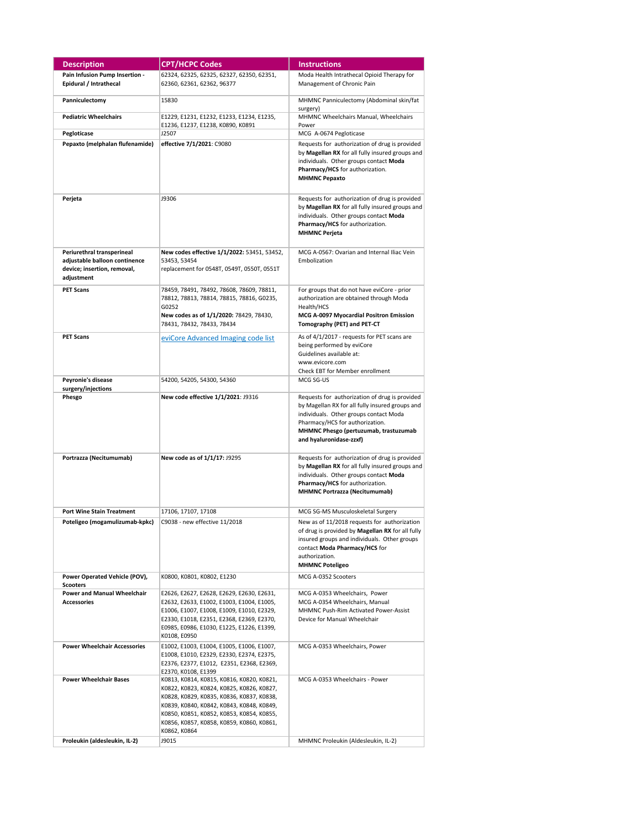| <b>Description</b>                               | <b>CPT/HCPC Codes</b>                                                                  | <b>Instructions</b>                                                                                                                                                                                                    |
|--------------------------------------------------|----------------------------------------------------------------------------------------|------------------------------------------------------------------------------------------------------------------------------------------------------------------------------------------------------------------------|
| Pain Infusion Pump Insertion -                   | 62324, 62325, 62325, 62327, 62350, 62351,                                              | Moda Health Intrathecal Opioid Therapy for                                                                                                                                                                             |
| Epidural / Intrathecal                           | 62360, 62361, 62362, 96377                                                             | Management of Chronic Pain                                                                                                                                                                                             |
| Panniculectomy                                   | 15830                                                                                  | MHMNC Panniculectomy (Abdominal skin/fat<br>surgery)                                                                                                                                                                   |
| <b>Pediatric Wheelchairs</b>                     | E1229, E1231, E1232, E1233, E1234, E1235,<br>E1236, E1237, E1238, K0890, K0891         | MHMNC Wheelchairs Manual, Wheelchairs<br>Power                                                                                                                                                                         |
| Pegloticase                                      | J2507                                                                                  | MCG A-0674 Pegloticase                                                                                                                                                                                                 |
| Pepaxto (melphalan flufenamide)                  | effective 7/1/2021: C9080                                                              | Requests for authorization of drug is provided<br>by Magellan RX for all fully insured groups and<br>individuals. Other groups contact Moda<br>Pharmacy/HCS for authorization.<br><b>MHMNC Pepaxto</b>                 |
| Perjeta                                          | J9306                                                                                  | Requests for authorization of drug is provided<br>by Magellan RX for all fully insured groups and<br>individuals. Other groups contact Moda<br>Pharmacy/HCS for authorization.<br><b>MHMNC Perjeta</b>                 |
| Periurethral transperineal                       | New codes effective 1/1/2022: 53451, 53452,                                            | MCG A-0567: Ovarian and Internal Iliac Vein                                                                                                                                                                            |
| adjustable balloon continence                    | 53453, 53454                                                                           | Embolization                                                                                                                                                                                                           |
| device; insertion, removal,<br>adjustment        | replacement for 0548T, 0549T, 0550T, 0551T                                             |                                                                                                                                                                                                                        |
| <b>PET Scans</b>                                 | 78459, 78491, 78492, 78608, 78609, 78811,                                              | For groups that do not have eviCore - prior                                                                                                                                                                            |
|                                                  | 78812, 78813, 78814, 78815, 78816, G0235,                                              | authorization are obtained through Moda                                                                                                                                                                                |
|                                                  | G0252                                                                                  | Health/HCS                                                                                                                                                                                                             |
|                                                  | New codes as of 1/1/2020: 78429, 78430,<br>78431, 78432, 78433, 78434                  | MCG A-0097 Myocardial Positron Emission<br>Tomography (PET) and PET-CT                                                                                                                                                 |
| <b>PET Scans</b>                                 | eviCore Advanced Imaging code list                                                     | As of 4/1/2017 - requests for PET scans are                                                                                                                                                                            |
|                                                  |                                                                                        | being performed by eviCore                                                                                                                                                                                             |
|                                                  |                                                                                        | Guidelines available at:                                                                                                                                                                                               |
|                                                  |                                                                                        | www.evicore.com                                                                                                                                                                                                        |
|                                                  |                                                                                        | Check EBT for Member enrollment                                                                                                                                                                                        |
| Peyronie's disease                               | 54200, 54205, 54300, 54360                                                             | MCG SG-US                                                                                                                                                                                                              |
| surgery/injections<br>Phesgo                     | New code effective 1/1/2021: J9316                                                     | Requests for authorization of drug is provided                                                                                                                                                                         |
|                                                  |                                                                                        | by Magellan RX for all fully insured groups and<br>individuals. Other groups contact Moda<br>Pharmacy/HCS for authorization.<br>MHMNC Phesgo (pertuzumab, trastuzumab<br>and hyaluronidase-zzxf)                       |
| Portrazza (Necitumumab)                          | New code as of 1/1/17: J9295                                                           | Requests for authorization of drug is provided<br>by Magellan RX for all fully insured groups and<br>individuals. Other groups contact Moda<br>Pharmacy/HCS for authorization.<br><b>MHMNC Portrazza (Necitumumab)</b> |
| <b>Port Wine Stain Treatment</b>                 | 17106, 17107, 17108                                                                    | MCG SG-MS Musculoskeletal Surgery                                                                                                                                                                                      |
| Poteligeo (mogamulizumab-kpkc)                   | C9038 - new effective 11/2018                                                          | New as of 11/2018 requests for authorization                                                                                                                                                                           |
|                                                  |                                                                                        | of drug is provided by Magellan RX for all fully<br>insured groups and individuals. Other groups<br>contact Moda Pharmacy/HCS for<br>authorization.<br><b>MHMNC Poteligeo</b>                                          |
| Power Operated Vehicle (POV),<br><b>Scooters</b> | K0800, K0801, K0802, E1230                                                             | MCG A-0352 Scooters                                                                                                                                                                                                    |
| <b>Power and Manual Wheelchair</b>               | E2626, E2627, E2628, E2629, E2630, E2631,                                              | MCG A-0353 Wheelchairs, Power                                                                                                                                                                                          |
| <b>Accessories</b>                               | E2632, E2633, E1002, E1003, E1004, E1005,                                              | MCG A-0354 Wheelchairs, Manual                                                                                                                                                                                         |
|                                                  | E1006, E1007, E1008, E1009, E1010, E2329,                                              | MHMNC Push-Rim Activated Power-Assist                                                                                                                                                                                  |
|                                                  | E2330, E1018, E2351, E2368, E2369, E2370,                                              | Device for Manual Wheelchair                                                                                                                                                                                           |
|                                                  | E0985, E0986, E1030, E1225, E1226, E1399,<br>K0108, E0950                              |                                                                                                                                                                                                                        |
| <b>Power Wheelchair Accessories</b>              | E1002, E1003, E1004, E1005, E1006, E1007,                                              | MCG A-0353 Wheelchairs, Power                                                                                                                                                                                          |
|                                                  | E1008, E1010, E2329, E2330, E2374, E2375,<br>E2376, E2377, E1012, E2351, E2368, E2369, |                                                                                                                                                                                                                        |
|                                                  | E2370, K0108, E1399                                                                    |                                                                                                                                                                                                                        |
| <b>Power Wheelchair Bases</b>                    | K0813, K0814, K0815, K0816, K0820, K0821,                                              | MCG A-0353 Wheelchairs - Power                                                                                                                                                                                         |
|                                                  | K0822, K0823, K0824, K0825, K0826, K0827,                                              |                                                                                                                                                                                                                        |
|                                                  | K0828, K0829, K0835, K0836, K0837, K0838,<br>K0839, K0840, K0842, K0843, K0848, K0849, |                                                                                                                                                                                                                        |
|                                                  | K0850, K0851, K0852, K0853, K0854, K0855,                                              |                                                                                                                                                                                                                        |
|                                                  | K0856, K0857, K0858, K0859, K0860, K0861,                                              |                                                                                                                                                                                                                        |
|                                                  | K0862, K0864                                                                           |                                                                                                                                                                                                                        |
| Proleukin (aldesleukin, IL-2)                    | J9015                                                                                  | MHMNC Proleukin (Aldesleukin, IL-2)                                                                                                                                                                                    |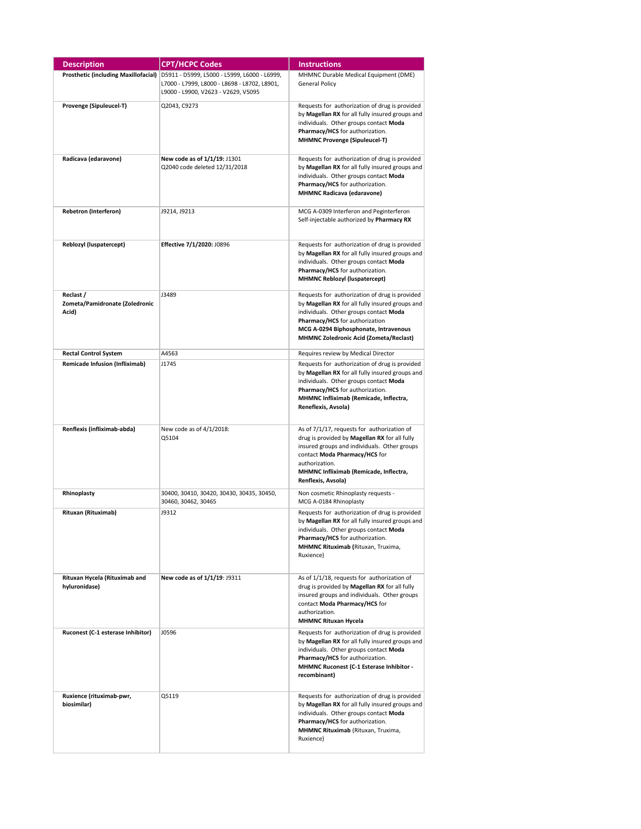| <b>Description</b>                                   | <b>CPT/HCPC Codes</b>                                                                                                               | <b>Instructions</b>                                                                                                                                                                                                                                                     |
|------------------------------------------------------|-------------------------------------------------------------------------------------------------------------------------------------|-------------------------------------------------------------------------------------------------------------------------------------------------------------------------------------------------------------------------------------------------------------------------|
| Prosthetic (including Maxillofacial)                 | D5911 - D5999, L5000 - L5999, L6000 - L6999,<br>L7000 - L7999, L8000 - L8698 - L8702, L8901,<br>L9000 - L9900, V2623 - V2629, V5095 | MHMNC Durable Medical Equipment (DME)<br>General Policy                                                                                                                                                                                                                 |
| Provenge (Sipuleucel-T)                              | Q2043, C9273                                                                                                                        | Requests for authorization of drug is provided<br>by Magellan RX for all fully insured groups and<br>individuals. Other groups contact Moda<br>Pharmacy/HCS for authorization.<br><b>MHMNC Provenge (Sipuleucel-T)</b>                                                  |
| Radicava (edaravone)                                 | New code as of 1/1/19: J1301<br>Q2040 code deleted 12/31/2018                                                                       | Requests for authorization of drug is provided<br>by Magellan RX for all fully insured groups and<br>individuals. Other groups contact Moda<br>Pharmacy/HCS for authorization.<br><b>MHMNC Radicava (edaravone)</b>                                                     |
| <b>Rebetron (Interferon)</b>                         | J9214, J9213                                                                                                                        | MCG A-0309 Interferon and Peginterferon<br>Self-injectable authorized by Pharmacy RX                                                                                                                                                                                    |
| Reblozyl (luspatercept)                              | Effective 7/1/2020: J0896                                                                                                           | Requests for authorization of drug is provided<br>by Magellan RX for all fully insured groups and<br>individuals. Other groups contact Moda<br>Pharmacy/HCS for authorization.<br>MHMNC Reblozyl (luspatercept)                                                         |
| Reclast /<br>Zometa/Pamidronate (Zoledronic<br>Acid) | J3489                                                                                                                               | Requests for authorization of drug is provided<br>by Magellan RX for all fully insured groups and<br>individuals. Other groups contact Moda<br>Pharmacy/HCS for authorization<br>MCG A-0294 Biphosphonate, Intravenous<br><b>MHMNC Zoledronic Acid (Zometa/Reclast)</b> |
| <b>Rectal Control System</b>                         | A4563                                                                                                                               | Requires review by Medical Director                                                                                                                                                                                                                                     |
| Remicade Infusion (Infliximab)                       | J1745                                                                                                                               | Requests for authorization of drug is provided<br>by Magellan RX for all fully insured groups and<br>individuals. Other groups contact Moda<br>Pharmacy/HCS for authorization.<br>MHMNC Infliximab (Remicade, Inflectra,<br>Reneflexis, Avsola)                         |
| Renflexis (infliximab-abda)                          | New code as of 4/1/2018:<br>Q5104                                                                                                   | As of 7/1/17, requests for authorization of<br>drug is provided by Magellan RX for all fully<br>insured groups and individuals. Other groups<br>contact Moda Pharmacy/HCS for<br>authorization.<br>MHMNC Infliximab (Remicade, Inflectra,<br>Renflexis, Avsola)         |
| Rhinoplasty                                          | 30400, 30410, 30420, 30430, 30435, 30450,<br>30460, 30462, 30465                                                                    | Non cosmetic Rhinoplasty requests -<br>MCG A-0184 Rhinoplasty                                                                                                                                                                                                           |
| Rituxan (Rituximab)                                  | J9312                                                                                                                               | Requests for authorization of drug is provided<br>by Magellan RX for all fully insured groups and<br>individuals. Other groups contact Moda<br>Pharmacy/HCS for authorization.<br>MHMNC Rituximab (Rituxan, Truxima,<br>Ruxience)                                       |
| Rituxan Hycela (Rituximab and<br>hyluronidase)       | New code as of 1/1/19: J9311                                                                                                        | As of 1/1/18, requests for authorization of<br>drug is provided by Magellan RX for all fully<br>insured groups and individuals. Other groups<br>contact Moda Pharmacy/HCS for<br>authorization.<br><b>MHMNC Rituxan Hycela</b>                                          |
| Ruconest (C-1 esterase Inhibitor)                    | J0596                                                                                                                               | Requests for authorization of drug is provided<br>by Magellan RX for all fully insured groups and<br>individuals. Other groups contact Moda<br>Pharmacy/HCS for authorization.<br>MHMNC Ruconest (C-1 Esterase Inhibitor -<br>recombinant)                              |
| Ruxience (rituximab-pwr,<br>biosimilar)              | Q5119                                                                                                                               | Requests for authorization of drug is provided<br>by Magellan RX for all fully insured groups and<br>individuals. Other groups contact Moda<br>Pharmacy/HCS for authorization.<br>MHMNC Rituximab (Rituxan, Truxima,<br>Ruxience)                                       |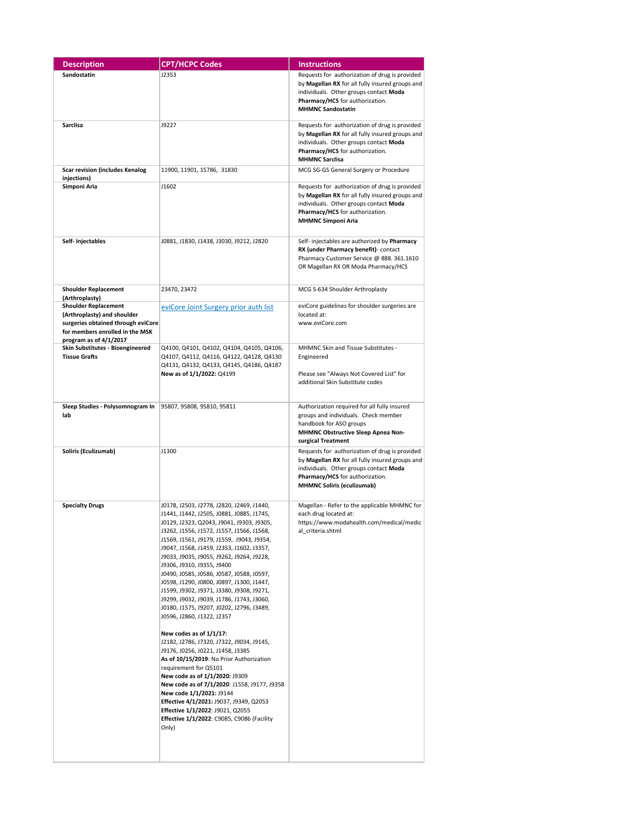| <b>Description</b>                                                                                                                                                              | <b>CPT/HCPC Codes</b>                                                                                                                                                                                                                                                                                                                                                                                                                                                                                                                                                                                                                                                                                                                                                                                                                                                                                                                                                                                                                                              | <b>Instructions</b>                                                                                                                                                                                                 |
|---------------------------------------------------------------------------------------------------------------------------------------------------------------------------------|--------------------------------------------------------------------------------------------------------------------------------------------------------------------------------------------------------------------------------------------------------------------------------------------------------------------------------------------------------------------------------------------------------------------------------------------------------------------------------------------------------------------------------------------------------------------------------------------------------------------------------------------------------------------------------------------------------------------------------------------------------------------------------------------------------------------------------------------------------------------------------------------------------------------------------------------------------------------------------------------------------------------------------------------------------------------|---------------------------------------------------------------------------------------------------------------------------------------------------------------------------------------------------------------------|
| Sandostatin                                                                                                                                                                     | J2353                                                                                                                                                                                                                                                                                                                                                                                                                                                                                                                                                                                                                                                                                                                                                                                                                                                                                                                                                                                                                                                              | Requests for authorization of drug is provided<br>by Magellan RX for all fully insured groups and<br>individuals. Other groups contact Moda<br>Pharmacy/HCS for authorization.<br><b>MHMNC Sandostatin</b>          |
| Sarclisa                                                                                                                                                                        | J9227                                                                                                                                                                                                                                                                                                                                                                                                                                                                                                                                                                                                                                                                                                                                                                                                                                                                                                                                                                                                                                                              | Requests for authorization of drug is provided<br>by Magellan RX for all fully insured groups and<br>individuals. Other groups contact Moda<br>Pharmacy/HCS for authorization.<br><b>MHMNC Sarclisa</b>             |
| <b>Scar revision (includes Kenalog</b><br>injections)                                                                                                                           | 11900, 11901, 15786, 31830                                                                                                                                                                                                                                                                                                                                                                                                                                                                                                                                                                                                                                                                                                                                                                                                                                                                                                                                                                                                                                         | MCG SG-GS General Surgery or Procedure                                                                                                                                                                              |
| Simponi Aria                                                                                                                                                                    | J1602                                                                                                                                                                                                                                                                                                                                                                                                                                                                                                                                                                                                                                                                                                                                                                                                                                                                                                                                                                                                                                                              | Requests for authorization of drug is provided<br>by Magellan RX for all fully insured groups and<br>individuals. Other groups contact Moda<br>Pharmacy/HCS for authorization.<br><b>MHMNC Simponi Aria</b>         |
| Self- Injectables                                                                                                                                                               | J0881, J1830, J1438, J3030, J9212, J2820                                                                                                                                                                                                                                                                                                                                                                                                                                                                                                                                                                                                                                                                                                                                                                                                                                                                                                                                                                                                                           | Self- injectables are authorized by Pharmacy<br>RX (under Pharmacy benefit) - contact<br>Pharmacy Customer Service @ 888. 361.1610<br>OR Magellan RX OR Moda Pharmacy/HCS                                           |
| <b>Shoulder Replacement</b>                                                                                                                                                     | 23470, 23472                                                                                                                                                                                                                                                                                                                                                                                                                                                                                                                                                                                                                                                                                                                                                                                                                                                                                                                                                                                                                                                       | MCG S-634 Shoulder Arthroplasty                                                                                                                                                                                     |
| (Arthroplasty)<br><b>Shoulder Replacement</b><br>(Arthroplasty) and shoulder<br>surgeries obtained through eviCore<br>for members enrolled in the MSK<br>program as of 4/1/2017 | eviCore Joint Surgery prior auth list                                                                                                                                                                                                                                                                                                                                                                                                                                                                                                                                                                                                                                                                                                                                                                                                                                                                                                                                                                                                                              | eviCore guidelines for shoulder surgeries are<br>located at:<br>www.eviCore.com                                                                                                                                     |
| Skin Substitutes - Bioengineered<br><b>Tissue Grafts</b>                                                                                                                        | Q4100, Q4101, Q4102, Q4104, Q4105, Q4106,<br>Q4107, Q4112, Q4116, Q4122, Q4128, Q4130<br>Q4131, Q4132, Q4133, Q4145, Q4186, Q4187<br>New as of 1/1/2022: Q4199                                                                                                                                                                                                                                                                                                                                                                                                                                                                                                                                                                                                                                                                                                                                                                                                                                                                                                     | MHMNC Skin and Tissue Substitutes -<br>Engineered<br>Please see "Always Not Covered List" for<br>additional Skin Substitute codes                                                                                   |
| Sleep Studies - Polysomnogram In<br>lab                                                                                                                                         | 95807, 95808, 95810, 95811                                                                                                                                                                                                                                                                                                                                                                                                                                                                                                                                                                                                                                                                                                                                                                                                                                                                                                                                                                                                                                         | Authorization required for all fully insured<br>groups and individuals. Check member<br>handbook for ASO groups<br>MHMNC Obstructive Sleep Apnea Non-<br>surgical Treatment                                         |
| Soliris (Eculizumab)                                                                                                                                                            | J1300                                                                                                                                                                                                                                                                                                                                                                                                                                                                                                                                                                                                                                                                                                                                                                                                                                                                                                                                                                                                                                                              | Requests for authorization of drug is provided<br>by Magellan RX for all fully insured groups and<br>individuals. Other groups contact Moda<br>Pharmacy/HCS for authorization.<br><b>MHMNC Soliris (eculizumab)</b> |
| <b>Specialty Drugs</b>                                                                                                                                                          | J0178, J2503, J2778, J2820, J2469, J1440,<br>J1441, J1442, J2505, J0881, J0885, J1745,<br>J0129, J2323, Q2043, J9041, J9303, J9305,<br>J3262, J1556, J1572, J1557, J1566, J1568,<br>J1569, J1561, J9179, J1559, J9043, J9354,<br>J9047, J1568, J1459, J2353, J1602, J3357,<br>J9033, J9035, J9055, J9262, J9264, J9228,<br>J9306, J9310, J9355, J9400<br>J0490, J0585, J0586, J0587, J0588, J0597,<br>J0598, J1290, J0800, J0897, J1300, J1447,<br>J1599, J9302, J9371, J3380, J9308, J9271,<br>J9299, J9032, J9039, J1786, J1743, J3060,<br>J0180, J1575, J9207, J0202, J2796, J3489,<br>J0596, J2860, J1322, J2357<br>New codes as of 1/1/17:<br>J2182, J2786, J7320, J7322, J9034, J9145,<br>J9176, J0256, J0221, J1458, J3385<br>As of 10/15/2019: No Prior Authorization<br>requirement for Q5101<br>New code as of 1/1/2020: J9309<br>New code as of 7/1/2020: J1558, J9177, J9358<br>New code 1/1/2021: J9144<br>Effective 4/1/2021: J9037, J9349, Q2053<br>Effective 1/1/2022: J9021, Q2055<br><b>Effective 1/1/2022</b> : C9085, C9086 (Facility<br>Only) | Magellan - Refer to the applicable MHMNC for<br>each drug located at:<br>https://www.modahealth.com/medical/medic<br>al criteria.shtml                                                                              |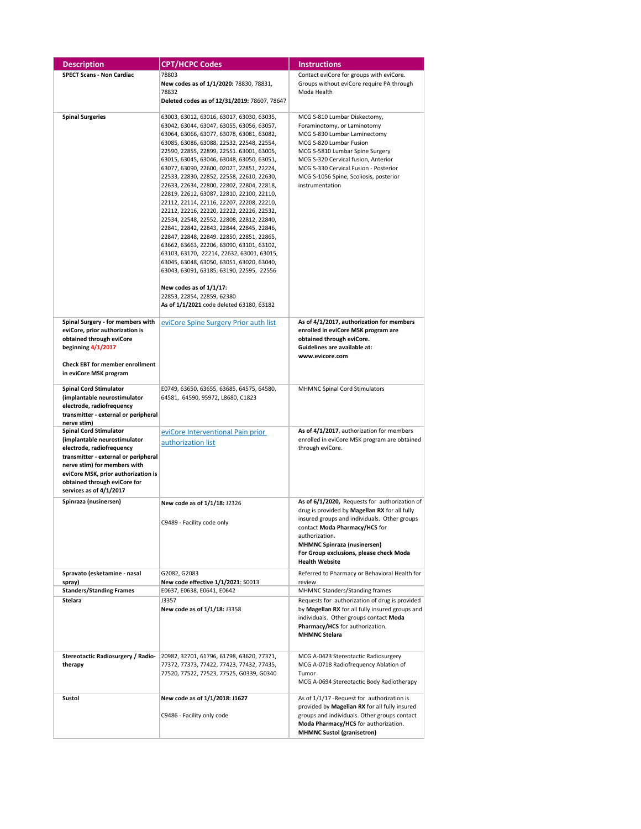| <b>Description</b>                                                   | <b>CPT/HCPC Codes</b>                                                                  | <b>Instructions</b>                                                                           |
|----------------------------------------------------------------------|----------------------------------------------------------------------------------------|-----------------------------------------------------------------------------------------------|
| <b>SPECT Scans - Non Cardiac</b>                                     | 78803                                                                                  | Contact eviCore for groups with eviCore.                                                      |
|                                                                      | New codes as of 1/1/2020: 78830, 78831,                                                | Groups without eviCore require PA through                                                     |
|                                                                      | 78832                                                                                  | Moda Health                                                                                   |
|                                                                      | Deleted codes as of 12/31/2019: 78607, 78647                                           |                                                                                               |
| <b>Spinal Surgeries</b>                                              | 63003, 63012, 63016, 63017, 63030, 63035,                                              | MCG S-810 Lumbar Diskectomy,                                                                  |
|                                                                      | 63042, 63044, 63047, 63055, 63056, 63057,                                              | Foraminotomy, or Laminotomy                                                                   |
|                                                                      | 63064, 63066, 63077, 63078, 63081, 63082,                                              | MCG S-830 Lumbar Laminectomy                                                                  |
|                                                                      | 63085, 63086, 63088, 22532, 22548, 22554,                                              | MCG S-820 Lumbar Fusion                                                                       |
|                                                                      | 22590, 22855, 22899, 22551. 63001, 63005,                                              | MCG S-5810 Lumbar Spine Surgery                                                               |
|                                                                      | 63015, 63045, 63046, 63048, 63050, 63051,<br>63077, 63090, 22600, 0202T, 22851, 22224, | MCG S-320 Cervical fusion, Anterior<br>MCG S-330 Cervical Fusion - Posterior                  |
|                                                                      | 22533, 22830, 22852, 22558, 22610, 22630,                                              | MCG S-1056 Spine, Scoliosis, posterior                                                        |
|                                                                      | 22633, 22634, 22800, 22802, 22804, 22818,                                              | instrumentation                                                                               |
|                                                                      | 22819, 22612, 63087, 22810, 22100, 22110,                                              |                                                                                               |
|                                                                      | 22112, 22114, 22116, 22207, 22208, 22210,                                              |                                                                                               |
|                                                                      | 22212, 22216, 22220, 22222, 22226, 22532,                                              |                                                                                               |
|                                                                      | 22534, 22548, 22552, 22808, 22812, 22840,<br>22841, 22842, 22843, 22844, 22845, 22846, |                                                                                               |
|                                                                      | 22847, 22848, 22849. 22850, 22851, 22865,                                              |                                                                                               |
|                                                                      | 63662, 63663, 22206, 63090, 63101, 63102,                                              |                                                                                               |
|                                                                      | 63103, 63170, 22214, 22632, 63001, 63015,                                              |                                                                                               |
|                                                                      | 63045, 63048, 63050, 63051, 63020, 63040,                                              |                                                                                               |
|                                                                      | 63043, 63091, 63185, 63190, 22595, 22556                                               |                                                                                               |
|                                                                      | New codes as of 1/1/17:                                                                |                                                                                               |
|                                                                      | 22853, 22854, 22859, 62380                                                             |                                                                                               |
|                                                                      | As of 1/1/2021 code deleted 63180, 63182                                               |                                                                                               |
|                                                                      |                                                                                        |                                                                                               |
| Spinal Surgery - for members with<br>eviCore, prior authorization is | eviCore Spine Surgery Prior auth list                                                  | As of 4/1/2017, authorization for members<br>enrolled in eviCore MSK program are              |
| obtained through eviCore                                             |                                                                                        | obtained through eviCore.                                                                     |
| beginning $4/1/2017$                                                 |                                                                                        | Guidelines are available at:                                                                  |
|                                                                      |                                                                                        | www.evicore.com                                                                               |
| <b>Check EBT for member enrollment</b><br>in eviCore MSK program     |                                                                                        |                                                                                               |
|                                                                      |                                                                                        |                                                                                               |
| <b>Spinal Cord Stimulator</b>                                        | E0749, 63650, 63655, 63685, 64575, 64580,                                              | MHMNC Spinal Cord Stimulators                                                                 |
| (implantable neurostimulator                                         | 64581, 64590, 95972, L8680, C1823                                                      |                                                                                               |
| electrode, radiofrequency                                            |                                                                                        |                                                                                               |
| transmitter - external or peripheral<br>nerve stim)                  |                                                                                        |                                                                                               |
| <b>Spinal Cord Stimulator</b>                                        | eviCore Interventional Pain prior                                                      | As of 4/1/2017, authorization for members                                                     |
| (implantable neurostimulator                                         | authorization list                                                                     | enrolled in eviCore MSK program are obtained                                                  |
| electrode, radiofrequency                                            |                                                                                        | through eviCore.                                                                              |
| transmitter - external or peripheral<br>nerve stim) for members with |                                                                                        |                                                                                               |
| eviCore MSK, prior authorization is                                  |                                                                                        |                                                                                               |
| obtained through eviCore for                                         |                                                                                        |                                                                                               |
| services as of 4/1/2017                                              |                                                                                        |                                                                                               |
| Spinraza (nusinersen)                                                | New code as of 1/1/18: J2326                                                           | As of 6/1/2020, Requests for authorization of                                                 |
|                                                                      |                                                                                        | drug is provided by Magellan RX for all fully                                                 |
|                                                                      | C9489 - Facility code only                                                             | insured groups and individuals. Other groups                                                  |
|                                                                      |                                                                                        | contact Moda Pharmacy/HCS for<br>authorization.                                               |
|                                                                      |                                                                                        | <b>MHMNC Spinraza (nusinersen)</b>                                                            |
|                                                                      |                                                                                        | For Group exclusions, please check Moda                                                       |
|                                                                      |                                                                                        | <b>Health Website</b>                                                                         |
| Spravato (esketamine - nasal                                         | G2082, G2083                                                                           | Referred to Pharmacy or Behavioral Health for                                                 |
| spray)<br><b>Standers/Standing Frames</b>                            | New code effective 1/1/2021: S0013<br>E0637, E0638, E0641, E0642                       | review<br>MHMNC Standers/Standing frames                                                      |
| <b>Stelara</b>                                                       | J3357                                                                                  | Requests for authorization of drug is provided                                                |
|                                                                      | New code as of 1/1/18: J3358                                                           | by Magellan RX for all fully insured groups and                                               |
|                                                                      |                                                                                        | individuals. Other groups contact Moda                                                        |
|                                                                      |                                                                                        | Pharmacy/HCS for authorization.                                                               |
|                                                                      |                                                                                        | <b>MHMNC Stelara</b>                                                                          |
|                                                                      |                                                                                        |                                                                                               |
| Stereotactic Radiosurgery / Radio-                                   | 20982, 32701, 61796, 61798, 63620, 77371,                                              | MCG A-0423 Stereotactic Radiosurgery                                                          |
| therapy                                                              | 77372, 77373, 77422, 77423, 77432, 77435,<br>77520, 77522, 77523, 77525, G0339, G0340  | MCG A-0718 Radiofrequency Ablation of<br>Tumor                                                |
|                                                                      |                                                                                        | MCG A-0694 Stereotactic Body Radiotherapy                                                     |
|                                                                      |                                                                                        |                                                                                               |
| Sustol                                                               | New code as of 1/1/2018: J1627                                                         | As of 1/1/17 - Request for authorization is                                                   |
|                                                                      | C9486 - Facility only code                                                             | provided by Magellan RX for all fully insured<br>groups and individuals. Other groups contact |
|                                                                      |                                                                                        | Moda Pharmacy/HCS for authorization.                                                          |
|                                                                      |                                                                                        | <b>MHMNC Sustol (granisetron)</b>                                                             |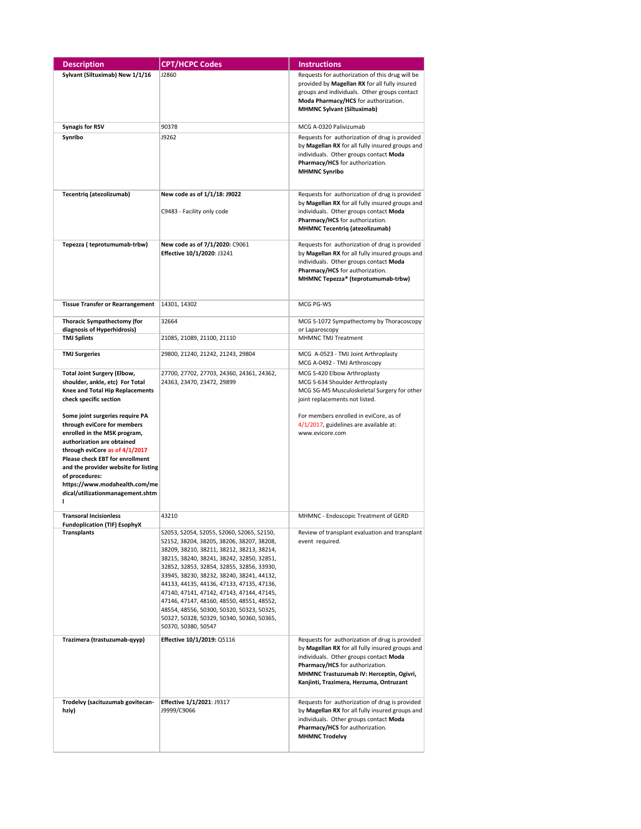| <b>Description</b>                                                                                                                                                                                                                                                                                                                    | <b>CPT/HCPC Codes</b>                                                                                                                                                                                                                                                                                                                                                                                                                                                                                                               | <b>Instructions</b>                                                                                                                                                                                                                                                   |
|---------------------------------------------------------------------------------------------------------------------------------------------------------------------------------------------------------------------------------------------------------------------------------------------------------------------------------------|-------------------------------------------------------------------------------------------------------------------------------------------------------------------------------------------------------------------------------------------------------------------------------------------------------------------------------------------------------------------------------------------------------------------------------------------------------------------------------------------------------------------------------------|-----------------------------------------------------------------------------------------------------------------------------------------------------------------------------------------------------------------------------------------------------------------------|
| Sylvant (Siltuximab) New 1/1/16                                                                                                                                                                                                                                                                                                       | J2860                                                                                                                                                                                                                                                                                                                                                                                                                                                                                                                               | Requests for authorization of this drug will be<br>provided by Magellan RX for all fully insured<br>groups and individuals. Other groups contact<br>Moda Pharmacy/HCS for authorization.<br><b>MHMNC Sylvant (Siltuximab)</b>                                         |
| <b>Synagis for RSV</b>                                                                                                                                                                                                                                                                                                                | 90378                                                                                                                                                                                                                                                                                                                                                                                                                                                                                                                               | MCG A-0320 Palivizumab                                                                                                                                                                                                                                                |
| Synribo                                                                                                                                                                                                                                                                                                                               | J9262                                                                                                                                                                                                                                                                                                                                                                                                                                                                                                                               | Requests for authorization of drug is provided<br>by Magellan RX for all fully insured groups and<br>individuals. Other groups contact Moda<br>Pharmacy/HCS for authorization.<br><b>MHMNC Synribo</b>                                                                |
| Tecentriq (atezolizumab)                                                                                                                                                                                                                                                                                                              | New code as of 1/1/18: J9022<br>C9483 - Facility only code                                                                                                                                                                                                                                                                                                                                                                                                                                                                          | Requests for authorization of drug is provided<br>by Magellan RX for all fully insured groups and<br>individuals. Other groups contact Moda<br>Pharmacy/HCS for authorization.<br><b>MHMNC Tecentriq (atezolizumab)</b>                                               |
| Tepezza (teprotumumab-trbw)                                                                                                                                                                                                                                                                                                           | New code as of 7/1/2020: C9061<br>Effective 10/1/2020: J3241                                                                                                                                                                                                                                                                                                                                                                                                                                                                        | Requests for authorization of drug is provided<br>by Magellan RX for all fully insured groups and<br>individuals. Other groups contact Moda<br>Pharmacy/HCS for authorization.<br>MHMNC Tepezza® (teprotumumab-trbw)                                                  |
| <b>Tissue Transfer or Rearrangement</b>                                                                                                                                                                                                                                                                                               | 14301, 14302                                                                                                                                                                                                                                                                                                                                                                                                                                                                                                                        | MCG PG-WS                                                                                                                                                                                                                                                             |
| Thoracic Sympathectomy (for<br>diagnosis of Hyperhidrosis)                                                                                                                                                                                                                                                                            | 32664                                                                                                                                                                                                                                                                                                                                                                                                                                                                                                                               | MCG S-1072 Sympathectomy by Thoracoscopy                                                                                                                                                                                                                              |
| <b>TMJ Splints</b>                                                                                                                                                                                                                                                                                                                    | 21085, 21089, 21100, 21110                                                                                                                                                                                                                                                                                                                                                                                                                                                                                                          | or Laparoscopy<br>MHMNC TMJ Treatment                                                                                                                                                                                                                                 |
| <b>TMJ Surgeries</b>                                                                                                                                                                                                                                                                                                                  | 29800, 21240, 21242, 21243, 29804                                                                                                                                                                                                                                                                                                                                                                                                                                                                                                   | MCG A-0523 - TMJ Joint Arthroplasty<br>MCG A-0492 - TMJ Arthroscopy                                                                                                                                                                                                   |
| <b>Total Joint Surgery (Elbow,</b><br>shoulder, ankle, etc) For Total<br>Knee and Total Hip Replacements<br>check specific section                                                                                                                                                                                                    | 27700, 27702, 27703, 24360, 24361, 24362,<br>24363, 23470, 23472, 29899                                                                                                                                                                                                                                                                                                                                                                                                                                                             | MCG S-420 Elbow Arthroplasty<br>MCG S-634 Shoulder Arthroplasty<br>MCG SG-MS Musculoskeletal Surgery for other<br>joint replacements not listed.                                                                                                                      |
| Some joint surgeries require PA<br>through eviCore for members<br>enrolled in the MSK program,<br>authorization are obtained<br>through eviCore as of 4/1/2017<br>Please check EBT for enrollment<br>and the provider website for listing<br>of procedures:<br>https://www.modahealth.com/me<br>dical/utilizationmanagement.shtm<br>н |                                                                                                                                                                                                                                                                                                                                                                                                                                                                                                                                     | For members enrolled in eviCore, as of<br>4/1/2017, guidelines are available at:<br>www.evicore.com                                                                                                                                                                   |
| <b>Transoral Incisionless</b><br><b>Fundoplication (TIF) EsophyX</b>                                                                                                                                                                                                                                                                  | 43210                                                                                                                                                                                                                                                                                                                                                                                                                                                                                                                               | MHMNC - Endoscopic Treatment of GERD                                                                                                                                                                                                                                  |
| <b>Transplants</b>                                                                                                                                                                                                                                                                                                                    | S2053, S2054, S2055, S2060, S2065, S2150,<br>\$2152, 38204, 38205, 38206, 38207, 38208,<br>38209, 38210, 38211, 38212, 38213, 38214,<br>38215, 38240, 38241, 38242, 32850, 32851,<br>32852, 32853, 32854, 32855, 32856, 33930,<br>33945, 38230, 38232, 38240, 38241, 44132,<br>44133, 44135, 44136, 47133, 47135, 47136,<br>47140, 47141, 47142, 47143, 47144, 47145,<br>47146, 47147, 48160, 48550, 48551, 48552,<br>48554, 48556, 50300, 50320, 50323, 50325,<br>50327, 50328, 50329, 50340, 50360, 50365,<br>50370, 50380, 50547 | Review of transplant evaluation and transplant<br>event required.                                                                                                                                                                                                     |
| Trazimera (trastuzumab-qyyp)                                                                                                                                                                                                                                                                                                          | Effective 10/1/2019: Q5116                                                                                                                                                                                                                                                                                                                                                                                                                                                                                                          | Requests for authorization of drug is provided<br>by Magellan RX for all fully insured groups and<br>individuals. Other groups contact Moda<br>Pharmacy/HCS for authorization.<br>MHMNC Trastuzumab IV: Herceptin, Ogivri,<br>Kanjinti, Trazimera, Herzuma, Ontruzant |
| Trodelvy (sacituzumab govitecan-<br>hziy)                                                                                                                                                                                                                                                                                             | Effective 1/1/2021: J9317<br>J9999/C9066                                                                                                                                                                                                                                                                                                                                                                                                                                                                                            | Requests for authorization of drug is provided<br>by Magellan RX for all fully insured groups and<br>individuals. Other groups contact Moda<br>Pharmacy/HCS for authorization.<br><b>MHMNC Trodelvy</b>                                                               |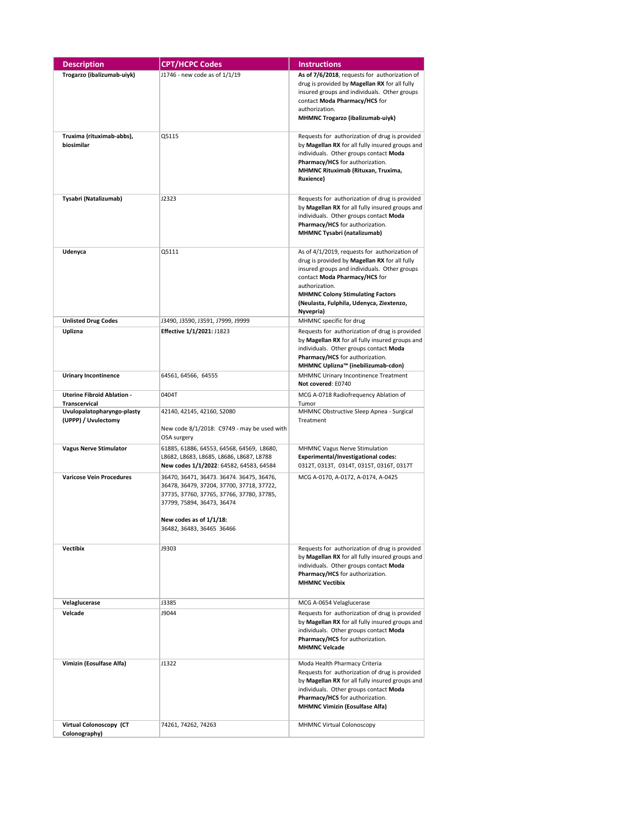| <b>Description</b>                                 | <b>CPT/HCPC Codes</b>                                                                                                                                                                                                     | <b>Instructions</b>                                                                                                                                                                                                                                                                                   |
|----------------------------------------------------|---------------------------------------------------------------------------------------------------------------------------------------------------------------------------------------------------------------------------|-------------------------------------------------------------------------------------------------------------------------------------------------------------------------------------------------------------------------------------------------------------------------------------------------------|
| Trogarzo (ibalizumab-uiyk)                         | J1746 - new code as of 1/1/19                                                                                                                                                                                             | As of 7/6/2018, requests for authorization of<br>drug is provided by Magellan RX for all fully<br>insured groups and individuals. Other groups<br>contact Moda Pharmacy/HCS for<br>authorization.<br>MHMNC Trogarzo (ibalizumab-uiyk)                                                                 |
| Truxima (rituximab-abbs),<br>biosimilar            | Q5115                                                                                                                                                                                                                     | Requests for authorization of drug is provided<br>by Magellan RX for all fully insured groups and<br>individuals. Other groups contact Moda<br>Pharmacy/HCS for authorization.<br>MHMNC Rituximab (Rituxan, Truxima,<br><b>Ruxience</b> )                                                             |
| Tysabri (Natalizumab)                              | J2323                                                                                                                                                                                                                     | Requests for authorization of drug is provided<br>by Magellan RX for all fully insured groups and<br>individuals. Other groups contact Moda<br>Pharmacy/HCS for authorization.<br>MHMNC Tysabri (natalizumab)                                                                                         |
| Udenyca                                            | Q5111                                                                                                                                                                                                                     | As of 4/1/2019, requests for authorization of<br>drug is provided by Magellan RX for all fully<br>insured groups and individuals. Other groups<br>contact Moda Pharmacy/HCS for<br>authorization.<br><b>MHMNC Colony Stimulating Factors</b><br>(Neulasta, Fulphila, Udenyca, Ziextenzo,<br>Nyvepria) |
| <b>Unlisted Drug Codes</b>                         | J3490, J3590, J3591, J7999, J9999                                                                                                                                                                                         | MHMNC specific for drug                                                                                                                                                                                                                                                                               |
| Uplizna                                            | Effective 1/1/2021: J1823                                                                                                                                                                                                 | Requests for authorization of drug is provided<br>by Magellan RX for all fully insured groups and<br>individuals. Other groups contact Moda<br>Pharmacy/HCS for authorization.<br>MHMNC Uplizna™ (inebilizumab-cdon)                                                                                  |
| <b>Urinary Incontinence</b>                        | 64561, 64566, 64555                                                                                                                                                                                                       | MHMNC Urinary Incontinence Treatment<br>Not covered: E0740                                                                                                                                                                                                                                            |
| <b>Uterine Fibroid Ablation -</b><br>Transcervical | 0404T                                                                                                                                                                                                                     | MCG A-0718 Radiofrequency Ablation of<br>Tumor                                                                                                                                                                                                                                                        |
| Uvulopalatopharyngo-plasty<br>(UPPP) / Uvulectomy  | 42140, 42145, 42160, S2080<br>New code 8/1/2018: C9749 - may be used with<br>OSA surgery                                                                                                                                  | MHMNC Obstructive Sleep Apnea - Surgical<br>Treatment                                                                                                                                                                                                                                                 |
| <b>Vagus Nerve Stimulator</b>                      | 61885, 61886, 64553, 64568, 64569, L8680,<br>L8682, L8683, L8685, L8686, L8687, L8788<br>New codes 1/1/2022: 64582, 64583, 64584                                                                                          | MHMNC Vagus Nerve Stimulation<br><b>Experimental/Investigational codes:</b><br>0312T, 0313T, 0314T, 0315T, 0316T, 0317T                                                                                                                                                                               |
| <b>Varicose Vein Procedures</b>                    | 36470, 36471, 36473. 36474. 36475, 36476,<br>36478, 36479, 37204, 37700, 37718, 37722,<br>37735, 37760, 37765, 37766, 37780, 37785,<br>37799, 75894, 36473, 36474<br>New codes as of 1/1/18:<br>36482, 36483, 36465 36466 | MCG A-0170, A-0172, A-0174, A-0425                                                                                                                                                                                                                                                                    |
| <b>Vectibix</b>                                    | 19303                                                                                                                                                                                                                     | Requests for authorization of drug is provided<br>by Magellan RX for all fully insured groups and<br>individuals. Other groups contact Moda<br>Pharmacy/HCS for authorization.<br><b>MHMNC Vectibix</b>                                                                                               |
| Velaglucerase                                      | J3385                                                                                                                                                                                                                     | MCG A-0654 Velaglucerase                                                                                                                                                                                                                                                                              |
| Velcade                                            | J9044                                                                                                                                                                                                                     | Requests for authorization of drug is provided<br>by Magellan RX for all fully insured groups and<br>individuals. Other groups contact Moda<br>Pharmacy/HCS for authorization.<br><b>MHMNC Velcade</b>                                                                                                |
| Vimizin (Eosulfase Alfa)                           | J1322                                                                                                                                                                                                                     | Moda Health Pharmacy Criteria<br>Requests for authorization of drug is provided<br>by Magellan RX for all fully insured groups and<br>individuals. Other groups contact Moda<br>Pharmacy/HCS for authorization.<br><b>MHMNC Vimizin (Eosulfase Alfa)</b>                                              |
| Virtual Colonoscopy (CT<br>Colonography)           | 74261, 74262, 74263                                                                                                                                                                                                       | <b>MHMNC Virtual Colonoscopy</b>                                                                                                                                                                                                                                                                      |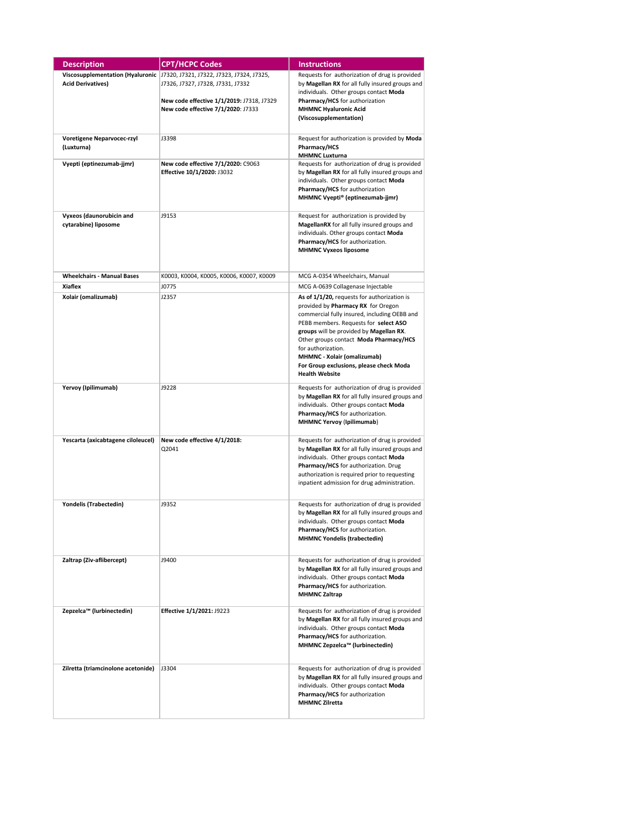| <b>Description</b>                 | <b>CPT/HCPC Codes</b>                                                        | <b>Instructions</b>                             |
|------------------------------------|------------------------------------------------------------------------------|-------------------------------------------------|
|                                    | Viscosupplementation (Hyaluronic   17320, 17321, 17322, 17323, 17324, 17325, | Requests for authorization of drug is provided  |
| <b>Acid Derivatives)</b>           | J7326, J7327, J7328, J7331, J7332                                            | by Magellan RX for all fully insured groups and |
|                                    |                                                                              | individuals. Other groups contact Moda          |
|                                    | New code effective 1/1/2019: J7318, J7329                                    | Pharmacy/HCS for authorization                  |
|                                    |                                                                              | <b>MHMNC Hyaluronic Acid</b>                    |
|                                    | New code effective 7/1/2020: J7333                                           |                                                 |
|                                    |                                                                              | (Viscosupplementation)                          |
|                                    |                                                                              |                                                 |
| Voretigene Neparvocec-rzyl         | J3398                                                                        | Request for authorization is provided by Moda   |
| (Luxturna)                         |                                                                              | Pharmacy/HCS                                    |
|                                    |                                                                              | <b>MHMNC Luxturna</b>                           |
| Vyepti (eptinezumab-jjmr)          | New code effective 7/1/2020: C9063                                           | Requests for authorization of drug is provided  |
|                                    | Effective 10/1/2020: J3032                                                   | by Magellan RX for all fully insured groups and |
|                                    |                                                                              | individuals. Other groups contact Moda          |
|                                    |                                                                              | Pharmacy/HCS for authorization                  |
|                                    |                                                                              | MHMNC Vyepti® (eptinezumab-jjmr)                |
|                                    |                                                                              |                                                 |
| Vyxeos (daunorubicin and           | J9153                                                                        | Request for authorization is provided by        |
|                                    |                                                                              | MagellanRX for all fully insured groups and     |
| cytarabine) liposome               |                                                                              |                                                 |
|                                    |                                                                              | individuals. Other groups contact Moda          |
|                                    |                                                                              | Pharmacy/HCS for authorization.                 |
|                                    |                                                                              | <b>MHMNC Vyxeos liposome</b>                    |
|                                    |                                                                              |                                                 |
|                                    |                                                                              |                                                 |
| <b>Wheelchairs - Manual Bases</b>  | K0003, K0004, K0005, K0006, K0007, K0009                                     | MCG A-0354 Wheelchairs, Manual                  |
| <b>Xiaflex</b>                     | J0775                                                                        | MCG A-0639 Collagenase Injectable               |
| Xolair (omalizumab)                | J2357                                                                        | As of 1/1/20, requests for authorization is     |
|                                    |                                                                              | provided by Pharmacy RX for Oregon              |
|                                    |                                                                              | commercial fully insured, including OEBB and    |
|                                    |                                                                              |                                                 |
|                                    |                                                                              | PEBB members. Requests for select ASO           |
|                                    |                                                                              | groups will be provided by Magellan RX.         |
|                                    |                                                                              | Other groups contact Moda Pharmacy/HCS          |
|                                    |                                                                              | for authorization.                              |
|                                    |                                                                              | <b>MHMNC - Xolair (omalizumab)</b>              |
|                                    |                                                                              | For Group exclusions, please check Moda         |
|                                    |                                                                              | <b>Health Website</b>                           |
|                                    |                                                                              |                                                 |
| Yervoy (Ipilimumab)                | J9228                                                                        | Requests for authorization of drug is provided  |
|                                    |                                                                              | by Magellan RX for all fully insured groups and |
|                                    |                                                                              | individuals. Other groups contact Moda          |
|                                    |                                                                              | Pharmacy/HCS for authorization.                 |
|                                    |                                                                              | MHMNC Yervoy (Ipilimumab)                       |
|                                    |                                                                              |                                                 |
| Yescarta (axicabtagene ciloleucel) | New code effective 4/1/2018:                                                 | Requests for authorization of drug is provided  |
|                                    | Q2041                                                                        | by Magellan RX for all fully insured groups and |
|                                    |                                                                              | individuals. Other groups contact Moda          |
|                                    |                                                                              | Pharmacy/HCS for authorization. Drug            |
|                                    |                                                                              | authorization is required prior to requesting   |
|                                    |                                                                              | inpatient admission for drug administration.    |
|                                    |                                                                              |                                                 |
|                                    |                                                                              |                                                 |
| Yondelis (Trabectedin)             | J9352                                                                        | Requests for authorization of drug is provided  |
|                                    |                                                                              | by Magellan RX for all fully insured groups and |
|                                    |                                                                              | individuals. Other groups contact Moda          |
|                                    |                                                                              | Pharmacy/HCS for authorization.                 |
|                                    |                                                                              | <b>MHMNC Yondelis (trabectedin)</b>             |
|                                    |                                                                              |                                                 |
|                                    |                                                                              |                                                 |
| Zaltrap (Ziv-aflibercept)          | J9400                                                                        | Requests for authorization of drug is provided  |
|                                    |                                                                              | by Magellan RX for all fully insured groups and |
|                                    |                                                                              | individuals. Other groups contact Moda          |
|                                    |                                                                              | Pharmacy/HCS for authorization.                 |
|                                    |                                                                              | <b>MHMNC Zaltrap</b>                            |
|                                    |                                                                              |                                                 |
| Zepzelca™ (lurbinectedin)          | Effective 1/1/2021: J9223                                                    | Requests for authorization of drug is provided  |
|                                    |                                                                              | by Magellan RX for all fully insured groups and |
|                                    |                                                                              | individuals. Other groups contact Moda          |
|                                    |                                                                              | Pharmacy/HCS for authorization.                 |
|                                    |                                                                              | MHMNC Zepzelca™ (lurbinectedin)                 |
|                                    |                                                                              |                                                 |
|                                    |                                                                              |                                                 |
| Zilretta (triamcinolone acetonide) | J3304                                                                        | Requests for authorization of drug is provided  |
|                                    |                                                                              | by Magellan RX for all fully insured groups and |
|                                    |                                                                              | individuals. Other groups contact Moda          |
|                                    |                                                                              | Pharmacy/HCS for authorization                  |
|                                    |                                                                              | <b>MHMNC Zilretta</b>                           |
|                                    |                                                                              |                                                 |
|                                    |                                                                              |                                                 |